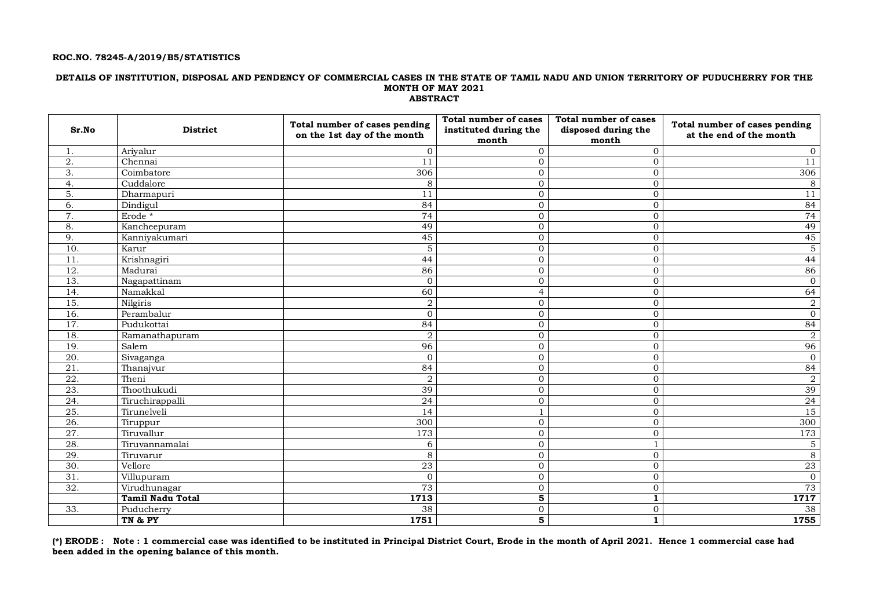#### **ROC.NO. 78245-A/2019/B5/STATISTICS**

#### **DETAILS OF INSTITUTION, DISPOSAL AND PENDENCY OF COMMERCIAL CASES IN THE STATE OF TAMIL NADU AND UNION TERRITORY OF PUDUCHERRY FOR THE MONTH OF MAY 2021 ABSTRACT**

| Sr.No             | <b>District</b>                 | Total number of cases pending<br>on the 1st day of the month | <b>Total number of cases</b><br>instituted during the<br>month | <b>Total number of cases</b><br>disposed during the<br>month | Total number of cases pending<br>at the end of the month |
|-------------------|---------------------------------|--------------------------------------------------------------|----------------------------------------------------------------|--------------------------------------------------------------|----------------------------------------------------------|
| 1.                | Ariyalur                        | $\Omega$                                                     | $\Omega$                                                       | $\mathbf{0}$                                                 | $\overline{0}$                                           |
| $\overline{2}$ .  | Chennai                         | 11                                                           | $\Omega$                                                       | $\Omega$                                                     | 11                                                       |
| 3.                | $\overline{\text{C}o}$ imbatore | 306                                                          | $\Omega$                                                       | $\mathbf{0}$                                                 | 306                                                      |
| 4.                | Cuddalore                       | 8                                                            | $\overline{0}$                                                 | $\overline{0}$                                               | 8                                                        |
| 5.                | Dharmapuri                      | 11                                                           | $\Omega$                                                       | $\overline{0}$                                               | 11                                                       |
| 6.                | Dindigul                        | 84                                                           | $\overline{0}$                                                 | $\overline{0}$                                               | 84                                                       |
| $\overline{7}$ .  | Erode *                         | $\overline{74}$                                              | $\overline{0}$                                                 | $\overline{0}$                                               | 74                                                       |
| 8.                | Kancheepuram                    | 49                                                           | $\overline{0}$                                                 | $\overline{0}$                                               | 49                                                       |
| 9.                | Kanniyakumari                   | 45                                                           | $\overline{0}$                                                 | $\overline{0}$                                               | 45                                                       |
| 10.               | Karur                           | $\mathbf 5$                                                  | $\overline{0}$                                                 | $\overline{0}$                                               | $\overline{5}$                                           |
| 11                | Krishnagiri                     | 44                                                           | $\overline{0}$                                                 | $\overline{0}$                                               | 44                                                       |
| 12.               | Madurai                         | 86                                                           | $\overline{0}$                                                 | $\overline{0}$                                               | 86                                                       |
| 13.               | Nagapattinam                    | $\mathbf{0}$                                                 | $\overline{0}$                                                 | $\overline{0}$                                               | $\mathbf{0}$                                             |
| 14.               | Namakkal                        | 60                                                           | $\overline{4}$                                                 | $\overline{0}$                                               | 64                                                       |
| 15.               | Nilgiris                        | $\sqrt{2}$                                                   | $\overline{0}$                                                 | $\overline{0}$                                               | $\,2$                                                    |
| 16.               | Perambalur                      | $\overline{0}$                                               | $\overline{0}$                                                 | $\overline{0}$                                               | $\mathbf{0}$                                             |
| 17.               | Pudukottai                      | 84                                                           | $\overline{0}$                                                 | $\mathbf{O}$                                                 | 84                                                       |
| 18.               | Ramanathapuram                  | $\boldsymbol{2}$                                             | $\overline{0}$                                                 | $\overline{0}$                                               | $\boldsymbol{2}$                                         |
| 19.               | Salem                           | 96                                                           | $\overline{0}$                                                 | $\overline{0}$                                               | 96                                                       |
| 20.               | Sivaganga                       | $\mathbf{0}$                                                 | $\overline{0}$                                                 | $\overline{0}$                                               | $\mathbf{0}$                                             |
| 21.               | Thanajvur                       | 84                                                           | $\overline{0}$                                                 | $\overline{0}$                                               | 84                                                       |
| $\overline{22}$ . | Theni                           | $\boldsymbol{2}$                                             | $\overline{0}$                                                 | $\overline{0}$                                               | $\sqrt{2}$                                               |
| 23.               | Thoothukudi                     | 39                                                           | $\overline{0}$                                                 | $\mathbf{0}$                                                 | 39                                                       |
| $\overline{24}$ . | Tiruchirappalli                 | $\overline{24}$                                              | $\overline{0}$                                                 | $\Omega$                                                     | $\overline{24}$                                          |
| 25.               | Tirunelveli                     | 14                                                           |                                                                | $\Omega$                                                     | 15                                                       |
| $\overline{26}$   | Tiruppur                        | 300                                                          | $\overline{0}$                                                 | $\overline{0}$                                               | 300                                                      |
| $\overline{27}$ . | Tiruvallur                      | 173                                                          | $\Omega$                                                       | $\overline{0}$                                               | 173                                                      |
| 28.               | Tiruvannamalai                  | 6                                                            | $\overline{0}$                                                 |                                                              | 5                                                        |
| 29.               | Tiruvarur                       | 8                                                            | $\overline{0}$                                                 | $\overline{0}$                                               | 8                                                        |
| $\overline{30}$ . | Vellore                         | 23                                                           | $\overline{0}$                                                 | $\overline{0}$                                               | 23                                                       |
| 31.               | Villupuram                      | $\overline{0}$                                               | $\overline{0}$                                                 | $\overline{0}$                                               | $\Omega$                                                 |
| 32.               | Virudhunagar                    | 73                                                           | $\overline{0}$                                                 | $\overline{0}$                                               | 73                                                       |
|                   | <b>Tamil Nadu Total</b>         | 1713                                                         | 5                                                              | 1                                                            | 1717                                                     |
| 33.               | Puducherry                      | $\overline{38}$                                              | $\overline{0}$                                                 | $\overline{0}$                                               | 38                                                       |
|                   | TN & PY                         | 1751                                                         | 5                                                              | 1                                                            | 1755                                                     |

**(\*) ERODE : Note : 1 commercial case was identified to be instituted in Principal District Court, Erode in the month of April 2021. Hence 1 commercial case had been added in the opening balance of this month.**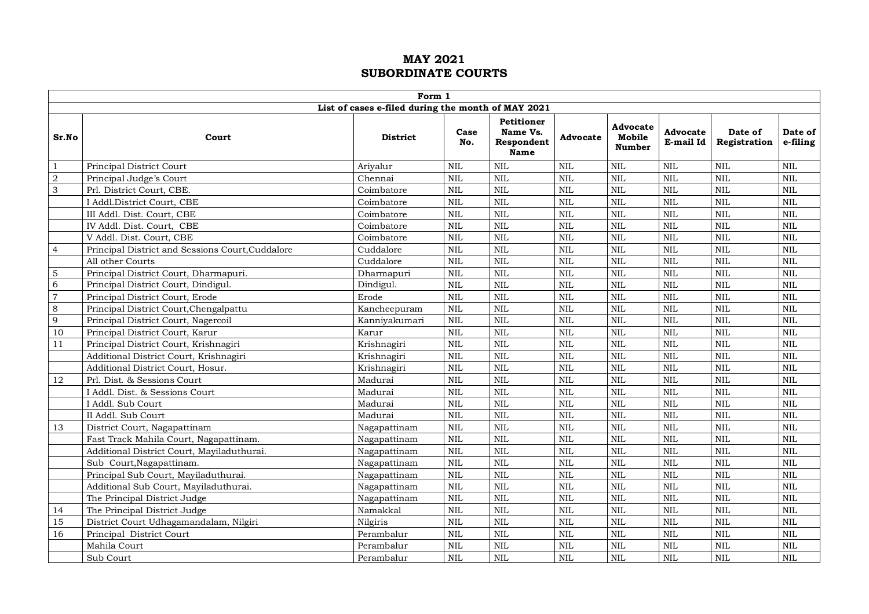|                | Form 1                                           |                                                    |              |                                                            |            |                                     |                       |                         |                     |  |  |  |
|----------------|--------------------------------------------------|----------------------------------------------------|--------------|------------------------------------------------------------|------------|-------------------------------------|-----------------------|-------------------------|---------------------|--|--|--|
|                |                                                  | List of cases e-filed during the month of MAY 2021 |              |                                                            |            |                                     |                       |                         |                     |  |  |  |
| Sr.No          | Court                                            | <b>District</b>                                    | Case<br>No.  | <b>Petitioner</b><br>Name Vs.<br>Respondent<br><b>Name</b> | Advocate   | Advocate<br>Mobile<br><b>Number</b> | Advocate<br>E-mail Id | Date of<br>Registration | Date of<br>e-filing |  |  |  |
| $\mathbf{1}$   | Principal District Court                         | Ariyalur                                           | $\mbox{NIL}$ | <b>NIL</b>                                                 | <b>NIL</b> | NIL                                 | $\mbox{NIL}$          | $\mbox{NIL}$            | $\mbox{NIL}$        |  |  |  |
| $\overline{2}$ | Principal Judge's Court                          | Chennai                                            | <b>NIL</b>   | <b>NIL</b>                                                 | <b>NIL</b> | <b>NIL</b>                          | <b>NIL</b>            | $\mbox{NIL}$            | <b>NIL</b>          |  |  |  |
| 3              | Prl. District Court, CBE.                        | Coimbatore                                         | <b>NIL</b>   | <b>NIL</b>                                                 | <b>NIL</b> | <b>NIL</b>                          | $\mbox{NIL}$          | $\rm NIL$               | $\mbox{NIL}$        |  |  |  |
|                | I Addl.District Court, CBE                       | Coimbatore                                         | <b>NIL</b>   | <b>NIL</b>                                                 | <b>NIL</b> | <b>NIL</b>                          | <b>NIL</b>            | <b>NIL</b>              | <b>NIL</b>          |  |  |  |
|                | III Addl. Dist. Court, CBE                       | Coimbatore                                         | NIL          | <b>NIL</b>                                                 | <b>NIL</b> | <b>NIL</b>                          | <b>NIL</b>            | <b>NIL</b>              | <b>NIL</b>          |  |  |  |
|                | IV Addl. Dist. Court, CBE                        | Coimbatore                                         | $\mbox{NIL}$ | <b>NIL</b>                                                 | <b>NIL</b> | <b>NIL</b>                          | $\mbox{NIL}$          | $\mbox{NIL}$            | <b>NIL</b>          |  |  |  |
|                | V Addl. Dist. Court, CBE                         | Coimbatore                                         | $\rm NIL$    | <b>NIL</b>                                                 | <b>NIL</b> | <b>NIL</b>                          | $\mbox{NIL}$          | NIL                     | $\mbox{NIL}$        |  |  |  |
| $\overline{4}$ | Principal District and Sessions Court, Cuddalore | Cuddalore                                          | $\mbox{NIL}$ | <b>NIL</b>                                                 | <b>NIL</b> | NIL                                 | $\mbox{NIL}$          | $\mbox{NIL}$            | $\mbox{NIL}$        |  |  |  |
|                | All other Courts                                 | Cuddalore                                          | <b>NIL</b>   | <b>NIL</b>                                                 | <b>NIL</b> | <b>NIL</b>                          | <b>NIL</b>            | <b>NIL</b>              | <b>NIL</b>          |  |  |  |
| 5              | Principal District Court, Dharmapuri.            | Dharmapuri                                         | <b>NIL</b>   | <b>NIL</b>                                                 | <b>NIL</b> | <b>NIL</b>                          | <b>NIL</b>            | $\rm NIL$               | $\mbox{NIL}$        |  |  |  |
| 6              | Principal District Court, Dindigul.              | Dindigul.                                          | $\mbox{NIL}$ | $\mbox{NIL}$                                               | <b>NIL</b> | <b>NIL</b>                          | <b>NIL</b>            | <b>NIL</b>              | $\mbox{NIL}$        |  |  |  |
| $\overline{7}$ | Principal District Court, Erode                  | Erode                                              | <b>NIL</b>   | <b>NIL</b>                                                 | <b>NIL</b> | <b>NIL</b>                          | <b>NIL</b>            | <b>NIL</b>              | <b>NIL</b>          |  |  |  |
| 8              | Principal District Court, Chengalpattu           | Kancheepuram                                       | <b>NIL</b>   | <b>NIL</b>                                                 | <b>NIL</b> | <b>NIL</b>                          | <b>NIL</b>            | <b>NIL</b>              | <b>NIL</b>          |  |  |  |
| 9              | Principal District Court, Nagercoil              | Kanniyakumari                                      | $\mbox{NIL}$ | <b>NIL</b>                                                 | <b>NIL</b> | NIL                                 | $\mbox{NIL}$          | <b>NIL</b>              | <b>NIL</b>          |  |  |  |
| 10             | Principal District Court, Karur                  | Karur                                              | NIL          | <b>NIL</b>                                                 | <b>NIL</b> | $\mbox{NIL}$                        | $\mbox{NIL}$          | $\mbox{NIL}$            | $\mbox{NIL}$        |  |  |  |
| $11$           | Principal District Court, Krishnagiri            | Krishnagiri                                        | <b>NIL</b>   | <b>NIL</b>                                                 | <b>NIL</b> | <b>NIL</b>                          | <b>NIL</b>            | <b>NIL</b>              | <b>NIL</b>          |  |  |  |
|                | Additional District Court, Krishnagiri           | Krishnagiri                                        | <b>NIL</b>   | <b>NIL</b>                                                 | <b>NIL</b> | <b>NIL</b>                          | <b>NIL</b>            | <b>NIL</b>              | <b>NIL</b>          |  |  |  |
|                | Additional District Court, Hosur.                | Krishnagiri                                        | $\rm NIL$    | NIL                                                        | <b>NIL</b> | NIL                                 | NIL                   | $\rm NIL$               | $\mbox{NIL}$        |  |  |  |
| 12             | Prl. Dist. & Sessions Court                      | Madurai                                            | <b>NIL</b>   | <b>NIL</b>                                                 | <b>NIL</b> | <b>NIL</b>                          | $\mbox{NIL}$          | $\rm NIL$               | <b>NIL</b>          |  |  |  |
|                | I Addl. Dist. & Sessions Court                   | Madurai                                            | <b>NIL</b>   | <b>NIL</b>                                                 | <b>NIL</b> | <b>NIL</b>                          | <b>NIL</b>            | <b>NIL</b>              | <b>NIL</b>          |  |  |  |
|                | I Addl. Sub Court                                | Madurai                                            | <b>NIL</b>   | <b>NIL</b>                                                 | <b>NIL</b> | <b>NIL</b>                          | <b>NIL</b>            | <b>NIL</b>              | <b>NIL</b>          |  |  |  |
|                | II Addl. Sub Court                               | Madurai                                            | $\mbox{NIL}$ | <b>NIL</b>                                                 | <b>NIL</b> | NIL                                 | $\mbox{NIL}$          | $\mbox{NIL}$            | $\mbox{NIL}$        |  |  |  |
| 13             | District Court, Nagapattinam                     | Nagapattinam                                       | <b>NIL</b>   | <b>NIL</b>                                                 | <b>NIL</b> | $\mbox{NIL}$                        | $\mbox{NIL}$          | $\mbox{NIL}$            | <b>NIL</b>          |  |  |  |
|                | Fast Track Mahila Court, Nagapattinam.           | Nagapattinam                                       | <b>NIL</b>   | NIL                                                        | <b>NIL</b> | <b>NIL</b>                          | $\rm NIL$             | <b>NIL</b>              | $\mbox{NIL}$        |  |  |  |
|                | Additional District Court, Mayiladuthurai.       | Nagapattinam                                       | $\mbox{NIL}$ | NIL                                                        | <b>NIL</b> | NIL                                 | NIL                   | $\rm NIL$               | $\mbox{NIL}$        |  |  |  |
|                | Sub Court, Nagapattinam.                         | Nagapattinam                                       | $\mbox{NIL}$ | $\mbox{NIL}$                                               | <b>NIL</b> | NIL                                 | $\mbox{NIL}$          | $\mbox{NIL}$            | $\mbox{NIL}$        |  |  |  |
|                | Principal Sub Court, Mayiladuthurai.             | Nagapattinam                                       | <b>NIL</b>   | <b>NIL</b>                                                 | <b>NIL</b> | <b>NIL</b>                          | <b>NIL</b>            | <b>NIL</b>              | <b>NIL</b>          |  |  |  |
|                | Additional Sub Court, Mayiladuthurai.            | Nagapattinam                                       | <b>NIL</b>   | <b>NIL</b>                                                 | <b>NIL</b> | <b>NIL</b>                          | <b>NIL</b>            | <b>NIL</b>              | <b>NIL</b>          |  |  |  |
|                | The Principal District Judge                     | Nagapattinam                                       | <b>NIL</b>   | <b>NIL</b>                                                 | <b>NIL</b> | NIL                                 | $\mbox{NIL}$          | <b>NIL</b>              | <b>NIL</b>          |  |  |  |
| 14             | The Principal District Judge                     | Namakkal                                           | <b>NIL</b>   | <b>NIL</b>                                                 | <b>NIL</b> | <b>NIL</b>                          | <b>NIL</b>            | <b>NIL</b>              | <b>NIL</b>          |  |  |  |
| 15             | District Court Udhagamandalam, Nilgiri           | Nilgiris                                           | <b>NIL</b>   | NIL                                                        | <b>NIL</b> | <b>NIL</b>                          | $\rm NIL$             | <b>NIL</b>              | $\mbox{NIL}$        |  |  |  |
| 16             | Principal District Court                         | Perambalur                                         | $\rm NIL$    | <b>NIL</b>                                                 | <b>NIL</b> | <b>NIL</b>                          | <b>NIL</b>            | <b>NIL</b>              | <b>NIL</b>          |  |  |  |
|                | Mahila Court                                     | Perambalur                                         | $\mbox{NIL}$ | <b>NIL</b>                                                 | <b>NIL</b> | <b>NIL</b>                          | <b>NIL</b>            | NIL                     | <b>NIL</b>          |  |  |  |
|                | Sub Court                                        | Perambalur                                         | <b>NIL</b>   | <b>NIL</b>                                                 | <b>NIL</b> | <b>NIL</b>                          | <b>NIL</b>            | <b>NIL</b>              | <b>NIL</b>          |  |  |  |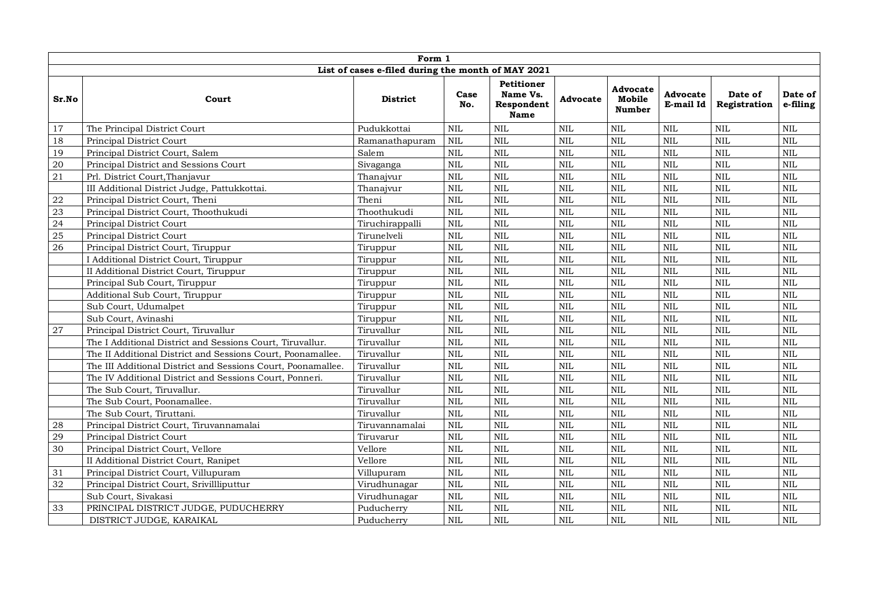|           | Form 1                                                       |                                                    |              |                                                     |            |                                     |                       |                         |                     |  |  |  |
|-----------|--------------------------------------------------------------|----------------------------------------------------|--------------|-----------------------------------------------------|------------|-------------------------------------|-----------------------|-------------------------|---------------------|--|--|--|
|           |                                                              | List of cases e-filed during the month of MAY 2021 |              |                                                     |            |                                     |                       |                         |                     |  |  |  |
| Sr.No     | Court                                                        | <b>District</b>                                    | Case<br>No.  | <b>Petitioner</b><br>Name Vs.<br>Respondent<br>Name | Advocate   | Advocate<br>Mobile<br><b>Number</b> | Advocate<br>E-mail Id | Date of<br>Registration | Date of<br>e-filing |  |  |  |
| 17        | The Principal District Court                                 | Pudukkottai                                        | $\mbox{NIL}$ | <b>NIL</b>                                          | <b>NIL</b> | <b>NIL</b>                          | $\mbox{NIL}$          | $\mbox{NIL}$            | $\mbox{NIL}$        |  |  |  |
| 18        | Principal District Court                                     | Ramanathapuram                                     | NIL          | <b>NIL</b>                                          | <b>NIL</b> | <b>NIL</b>                          | $\mbox{NIL}$          | $\mbox{NIL}$            | $\mbox{NIL}$        |  |  |  |
| 19        | Principal District Court, Salem                              | Salem                                              | <b>NIL</b>   | <b>NIL</b>                                          | <b>NIL</b> | <b>NIL</b>                          | $\mbox{NIL}$          | $\mbox{NIL}$            | <b>NIL</b>          |  |  |  |
| $20\,$    | Principal District and Sessions Court                        | Sivaganga                                          | <b>NIL</b>   | <b>NIL</b>                                          | <b>NIL</b> | <b>NIL</b>                          | <b>NIL</b>            | $\rm NIL$               | <b>NIL</b>          |  |  |  |
| 21        | Prl. District Court, Thanjavur                               | Thanajvur                                          | <b>NIL</b>   | <b>NIL</b>                                          | <b>NIL</b> | <b>NIL</b>                          | <b>NIL</b>            | <b>NIL</b>              | <b>NIL</b>          |  |  |  |
|           | III Additional District Judge, Pattukkottai.                 | Thanajvur                                          | <b>NIL</b>   | <b>NIL</b>                                          | <b>NIL</b> | <b>NIL</b>                          | $\mbox{NIL}$          | $\rm NIL$               | $\text{NIL}$        |  |  |  |
| $\bf{22}$ | Principal District Court, Theni                              | Theni                                              | <b>NIL</b>   | <b>NIL</b>                                          | <b>NIL</b> | <b>NIL</b>                          | $\mbox{NIL}$          | $\mbox{NIL}$            | $\mbox{NIL}$        |  |  |  |
| 23        | Principal District Court, Thoothukudi                        | Thoothukudi                                        | $\mbox{NIL}$ | <b>NIL</b>                                          | <b>NIL</b> | <b>NIL</b>                          | <b>NIL</b>            | $\mbox{NIL}$            | $\mbox{NIL}$        |  |  |  |
| 24        | Principal District Court                                     | Tiruchirappalli                                    | $\mbox{NIL}$ | $\mbox{NIL}$                                        | <b>NIL</b> | <b>NIL</b>                          | $\mbox{NIL}$          | $\rm NIL$               | $\mbox{NIL}$        |  |  |  |
| 25        | Principal District Court                                     | Tirunelveli                                        | <b>NIL</b>   | <b>NIL</b>                                          | <b>NIL</b> | <b>NIL</b>                          | $\mbox{NIL}$          | $\mbox{NIL}$            | $\text{NIL}$        |  |  |  |
| 26        | Principal District Court, Tiruppur                           | Tiruppur                                           | NIL          | <b>NIL</b>                                          | <b>NIL</b> | <b>NIL</b>                          | <b>NIL</b>            | $\mbox{NIL}$            | $\mbox{NIL}$        |  |  |  |
|           | I Additional District Court, Tiruppur                        | Tiruppur                                           | <b>NIL</b>   | <b>NIL</b>                                          | <b>NIL</b> | <b>NIL</b>                          | <b>NIL</b>            | NIL                     | $\mbox{NIL}$        |  |  |  |
|           | II Additional District Court, Tiruppur                       | Tiruppur                                           | $\mbox{NIL}$ | $\mbox{NIL}$                                        | <b>NIL</b> | <b>NIL</b>                          | $\mbox{NIL}$          | $\mbox{NIL}$            | $\mbox{NIL}$        |  |  |  |
|           | Principal Sub Court, Tiruppur                                | Tiruppur                                           | <b>NIL</b>   | <b>NIL</b>                                          | <b>NIL</b> | <b>NIL</b>                          | $\mbox{NIL}$          | $\mbox{NIL}$            | $\mbox{NIL}$        |  |  |  |
|           | Additional Sub Court, Tiruppur                               | Tiruppur                                           | $\mbox{NIL}$ | <b>NIL</b>                                          | <b>NIL</b> | <b>NIL</b>                          | <b>NIL</b>            | $\mbox{NIL}$            | $\mbox{NIL}$        |  |  |  |
|           | Sub Court, Udumalpet                                         | Tiruppur                                           | $\mbox{NIL}$ | $\mbox{NIL}$                                        | <b>NIL</b> | <b>NIL</b>                          | $\mbox{NIL}$          | $\mbox{NIL}$            | $\mbox{NIL}$        |  |  |  |
|           | Sub Court, Avinashi                                          | Tiruppur                                           | $\mbox{NIL}$ | $\mbox{NIL}$                                        | <b>NIL</b> | <b>NIL</b>                          | $\mbox{NIL}$          | $\rm NIL$               | <b>NIL</b>          |  |  |  |
| 27        | Principal District Court, Tiruvallur                         | Tiruvallur                                         | <b>NIL</b>   | <b>NIL</b>                                          | <b>NIL</b> | <b>NIL</b>                          | <b>NIL</b>            | NIL                     | <b>NIL</b>          |  |  |  |
|           | The I Additional District and Sessions Court, Tiruvallur.    | Tiruvallur                                         | <b>NIL</b>   | <b>NIL</b>                                          | <b>NIL</b> | <b>NIL</b>                          | <b>NIL</b>            | <b>NIL</b>              | <b>NIL</b>          |  |  |  |
|           | The II Additional District and Sessions Court, Poonamallee.  | Tiruvallur                                         | <b>NIL</b>   | <b>NIL</b>                                          | <b>NIL</b> | <b>NIL</b>                          | $\mbox{NIL}$          | $\mbox{NIL}$            | $\mbox{NIL}$        |  |  |  |
|           | The III Additional District and Sessions Court, Poonamallee. | Tiruvallur                                         | <b>NIL</b>   | <b>NIL</b>                                          | <b>NIL</b> | <b>NIL</b>                          | $\mbox{NIL}$          | NIL                     | $\text{NIL}$        |  |  |  |
|           | The IV Additional District and Sessions Court, Ponneri.      | Tiruvallur                                         | <b>NIL</b>   | <b>NIL</b>                                          | <b>NIL</b> | <b>NIL</b>                          | <b>NIL</b>            | $\rm NIL$               | $\mbox{NIL}$        |  |  |  |
|           | The Sub Court, Tiruvallur.                                   | Tiruvallur                                         | $\mbox{NIL}$ | $\mbox{NIL}$                                        | <b>NIL</b> | <b>NIL</b>                          | <b>NIL</b>            | $\mbox{NIL}$            | $\text{NIL}$        |  |  |  |
|           | The Sub Court, Poonamallee.                                  | Tiruvallur                                         | $\mbox{NIL}$ | $\mbox{NIL}$                                        | <b>NIL</b> | <b>NIL</b>                          | $\mbox{NIL}$          | $\mbox{NIL}$            | $\mbox{NIL}$        |  |  |  |
|           | The Sub Court, Tiruttani.                                    | Tiruvallur                                         | <b>NIL</b>   | <b>NIL</b>                                          | <b>NIL</b> | <b>NIL</b>                          | $\mbox{NIL}$          | <b>NIL</b>              | <b>NIL</b>          |  |  |  |
| 28        | Principal District Court, Tiruvannamalai                     | Tiruvannamalai                                     | <b>NIL</b>   | <b>NIL</b>                                          | <b>NIL</b> | <b>NIL</b>                          | <b>NIL</b>            | <b>NIL</b>              | $\mbox{NIL}$        |  |  |  |
| 29        | Principal District Court                                     | Tiruvarur                                          | <b>NIL</b>   | <b>NIL</b>                                          | <b>NIL</b> | <b>NIL</b>                          | <b>NIL</b>            | NIL                     | $\text{NIL}$        |  |  |  |
| 30        | Principal District Court, Vellore                            | Vellore                                            | $\mbox{NIL}$ | $\mbox{NIL}$                                        | <b>NIL</b> | <b>NIL</b>                          | $\mbox{NIL}$          | $\mbox{NIL}$            | $\mbox{NIL}$        |  |  |  |
|           | II Additional District Court, Ranipet                        | Vellore                                            | <b>NIL</b>   | <b>NIL</b>                                          | <b>NIL</b> | <b>NIL</b>                          | <b>NIL</b>            | $\mbox{NIL}$            | <b>NIL</b>          |  |  |  |
| 31        | Principal District Court, Villupuram                         | Villupuram                                         | $\mbox{NIL}$ | <b>NIL</b>                                          | <b>NIL</b> | <b>NIL</b>                          | <b>NIL</b>            | $\mbox{NIL}$            | $\mbox{NIL}$        |  |  |  |
| 32        | Principal District Court, Srivillliputtur                    | Virudhunagar                                       | $\mbox{NIL}$ | <b>NIL</b>                                          | <b>NIL</b> | <b>NIL</b>                          | $\mbox{NIL}$          | $\mbox{NIL}$            | $\mbox{NIL}$        |  |  |  |
|           | Sub Court, Sivakasi                                          | Virudhunagar                                       | $\mbox{NIL}$ | $\mbox{NIL}$                                        | <b>NIL</b> | <b>NIL</b>                          | $\mbox{NIL}$          | $\mbox{NIL}$            | $\mbox{NIL}$        |  |  |  |
| 33        | PRINCIPAL DISTRICT JUDGE, PUDUCHERRY                         | Puducherry                                         | <b>NIL</b>   | <b>NIL</b>                                          | <b>NIL</b> | <b>NIL</b>                          | $\mbox{NIL}$          | $\mbox{NIL}$            | <b>NIL</b>          |  |  |  |
|           | DISTRICT JUDGE, KARAIKAL                                     | Puducherry                                         | <b>NIL</b>   | <b>NIL</b>                                          | <b>NIL</b> | <b>NIL</b>                          | <b>NIL</b>            | <b>NIL</b>              | <b>NIL</b>          |  |  |  |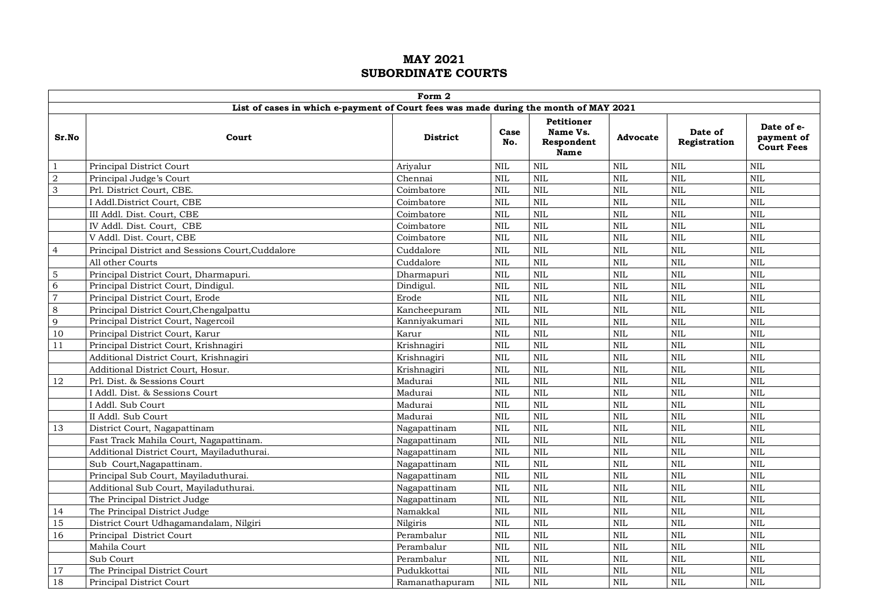|                |                                                                                      | Form 2          |             |                                                     |              |                         |                                               |
|----------------|--------------------------------------------------------------------------------------|-----------------|-------------|-----------------------------------------------------|--------------|-------------------------|-----------------------------------------------|
|                | List of cases in which e-payment of Court fees was made during the month of MAY 2021 |                 |             |                                                     |              |                         |                                               |
| Sr.No          | Court                                                                                | <b>District</b> | Case<br>No. | <b>Petitioner</b><br>Name Vs.<br>Respondent<br>Name | Advocate     | Date of<br>Registration | Date of e-<br>payment of<br><b>Court Fees</b> |
| $\mathbf{1}$   | Principal District Court                                                             | Ariyalur        | <b>NIL</b>  | <b>NIL</b>                                          | <b>NIL</b>   | <b>NIL</b>              | <b>NIL</b>                                    |
| $\overline{2}$ | Principal Judge's Court                                                              | Chennai         | <b>NIL</b>  | <b>NIL</b>                                          | $\mbox{NIL}$ | <b>NIL</b>              | <b>NIL</b>                                    |
| 3              | Prl. District Court, CBE.                                                            | Coimbatore      | <b>NIL</b>  | <b>NIL</b>                                          | <b>NIL</b>   | <b>NIL</b>              | <b>NIL</b>                                    |
|                | I Addl.District Court, CBE                                                           | Coimbatore      | <b>NIL</b>  | $\mbox{NIL}$                                        | <b>NIL</b>   | NIL                     | <b>NIL</b>                                    |
|                | III Addl. Dist. Court, CBE                                                           | Coimbatore      | <b>NIL</b>  | <b>NIL</b>                                          | $\mbox{NIL}$ | NIL                     | <b>NIL</b>                                    |
|                | IV Addl. Dist. Court, CBE                                                            | Coimbatore      | <b>NIL</b>  | <b>NIL</b>                                          | <b>NIL</b>   | <b>NIL</b>              | <b>NIL</b>                                    |
|                | V Addl. Dist. Court, CBE                                                             | Coimbatore      | <b>NIL</b>  | <b>NIL</b>                                          | <b>NIL</b>   | NIL                     | <b>NIL</b>                                    |
| $\overline{4}$ | Principal District and Sessions Court, Cuddalore                                     | Cuddalore       | <b>NIL</b>  | <b>NIL</b>                                          | $\mbox{NIL}$ | <b>NIL</b>              | $\mbox{NIL}$                                  |
|                | All other Courts                                                                     | Cuddalore       | <b>NIL</b>  | <b>NIL</b>                                          | <b>NIL</b>   | NIL                     | $\mbox{NIL}$                                  |
| $\sqrt{5}$     | Principal District Court, Dharmapuri.                                                | Dharmapuri      | <b>NIL</b>  | <b>NIL</b>                                          | $\mbox{NIL}$ | NIL                     | <b>NIL</b>                                    |
| 6              | Principal District Court, Dindigul.                                                  | Dindigul.       | <b>NIL</b>  | <b>NIL</b>                                          | $\mbox{NIL}$ | <b>NIL</b>              | <b>NIL</b>                                    |
| $\overline{7}$ | Principal District Court, Erode                                                      | Erode           | <b>NIL</b>  | <b>NIL</b>                                          | <b>NIL</b>   | <b>NIL</b>              | <b>NIL</b>                                    |
| 8              | Principal District Court, Chengalpattu                                               | Kancheepuram    | <b>NIL</b>  | <b>NIL</b>                                          | <b>NIL</b>   | <b>NIL</b>              | $\mbox{NIL}$                                  |
| 9              | Principal District Court, Nagercoil                                                  | Kanniyakumari   | <b>NIL</b>  | <b>NIL</b>                                          | $\mbox{NIL}$ | NIL                     | $\mbox{NIL}$                                  |
| 10             | Principal District Court, Karur                                                      | Karur           | <b>NIL</b>  | <b>NIL</b>                                          | <b>NIL</b>   | <b>NIL</b>              | $\mbox{NIL}$                                  |
| $1\,1$         | Principal District Court, Krishnagiri                                                | Krishnagiri     | <b>NIL</b>  | <b>NIL</b>                                          | $\mbox{NIL}$ | <b>NIL</b>              | <b>NIL</b>                                    |
|                | Additional District Court, Krishnagiri                                               | Krishnagiri     | <b>NIL</b>  | <b>NIL</b>                                          | <b>NIL</b>   | <b>NIL</b>              | <b>NIL</b>                                    |
|                | Additional District Court, Hosur.                                                    | Krishnagiri     | <b>NIL</b>  | <b>NIL</b>                                          | <b>NIL</b>   | <b>NIL</b>              | <b>NIL</b>                                    |
| 12             | Prl. Dist. & Sessions Court                                                          | Madurai         | <b>NIL</b>  | <b>NIL</b>                                          | <b>NIL</b>   | <b>NIL</b>              | <b>NIL</b>                                    |
|                | I Addl. Dist. & Sessions Court                                                       | Madurai         | <b>NIL</b>  | <b>NIL</b>                                          | <b>NIL</b>   | <b>NIL</b>              | <b>NIL</b>                                    |
|                | I Addl. Sub Court                                                                    | Madurai         | <b>NIL</b>  | <b>NIL</b>                                          | $\mbox{NIL}$ | $\mbox{NIL}$            | $\mbox{NIL}$                                  |
|                | II Addl. Sub Court                                                                   | Madurai         | <b>NIL</b>  | $\mbox{NIL}$                                        | $\mbox{NIL}$ | NIL                     | $\mbox{NIL}$                                  |
| 13             | District Court, Nagapattinam                                                         | Nagapattinam    | <b>NIL</b>  | <b>NIL</b>                                          | <b>NIL</b>   | $\overline{\text{NIL}}$ | <b>NIL</b>                                    |
|                | Fast Track Mahila Court, Nagapattinam.                                               | Nagapattinam    | <b>NIL</b>  | <b>NIL</b>                                          | <b>NIL</b>   | <b>NIL</b>              | <b>NIL</b>                                    |
|                | Additional District Court, Mayiladuthurai.                                           | Nagapattinam    | <b>NIL</b>  | <b>NIL</b>                                          | $\text{NIL}$ | <b>NIL</b>              | <b>NIL</b>                                    |
|                | Sub Court, Nagapattinam.                                                             | Nagapattinam    | <b>NIL</b>  | <b>NIL</b>                                          | <b>NIL</b>   | <b>NIL</b>              | NIL                                           |
|                | Principal Sub Court, Mayiladuthurai.                                                 | Nagapattinam    | <b>NIL</b>  | <b>NIL</b>                                          | <b>NIL</b>   | NIL                     | <b>NIL</b>                                    |
|                | Additional Sub Court, Mayiladuthurai.                                                | Nagapattinam    | <b>NIL</b>  | <b>NIL</b>                                          | <b>NIL</b>   | <b>NIL</b>              | <b>NIL</b>                                    |
|                | The Principal District Judge                                                         | Nagapattinam    | <b>NIL</b>  | <b>NIL</b>                                          | $\mbox{NIL}$ | <b>NIL</b>              | <b>NIL</b>                                    |
| 14             | The Principal District Judge                                                         | Namakkal        | <b>NIL</b>  | <b>NIL</b>                                          | <b>NIL</b>   | <b>NIL</b>              | <b>NIL</b>                                    |
| 15             | District Court Udhagamandalam, Nilgiri                                               | Nilgiris        | <b>NIL</b>  | <b>NIL</b>                                          | <b>NIL</b>   | NIL                     | <b>NIL</b>                                    |
| 16             | Principal District Court                                                             | Perambalur      | <b>NIL</b>  | <b>NIL</b>                                          | <b>NIL</b>   | <b>NIL</b>              | <b>NIL</b>                                    |
|                | Mahila Court                                                                         | Perambalur      | <b>NIL</b>  | <b>NIL</b>                                          | <b>NIL</b>   | <b>NIL</b>              | <b>NIL</b>                                    |
|                | Sub Court                                                                            | Perambalur      | <b>NIL</b>  | <b>NIL</b>                                          | <b>NIL</b>   | <b>NIL</b>              | <b>NIL</b>                                    |
| 17             | The Principal District Court                                                         | Pudukkottai     | <b>NIL</b>  | <b>NIL</b>                                          | $\mbox{NIL}$ | NIL                     | <b>NIL</b>                                    |
| 18             | Principal District Court                                                             | Ramanathapuram  | <b>NIL</b>  | <b>NIL</b>                                          | <b>NIL</b>   | <b>NIL</b>              | <b>NIL</b>                                    |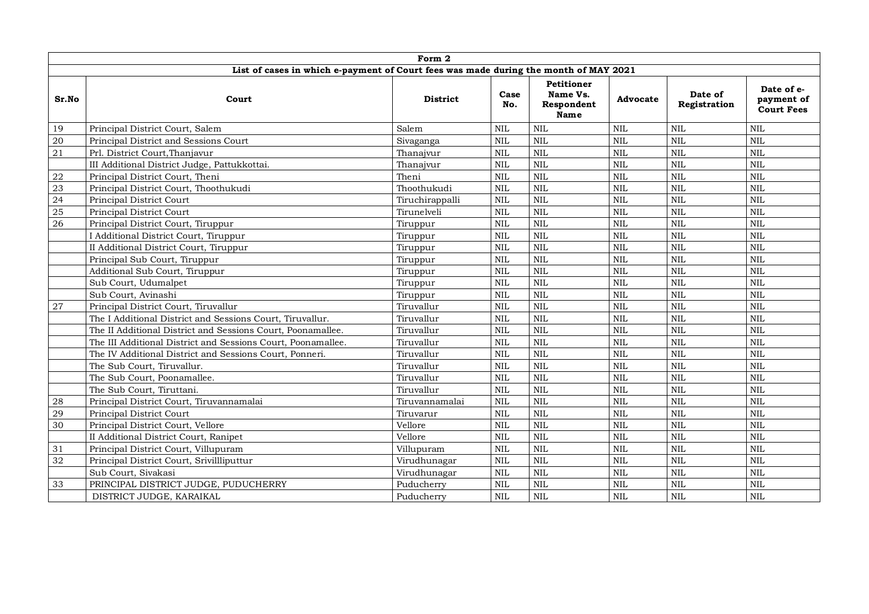|            |                                                                                      | Form 2          |              |                                                     |                 |                         |                                               |
|------------|--------------------------------------------------------------------------------------|-----------------|--------------|-----------------------------------------------------|-----------------|-------------------------|-----------------------------------------------|
|            | List of cases in which e-payment of Court fees was made during the month of MAY 2021 |                 |              |                                                     |                 |                         |                                               |
| Sr.No      | Court                                                                                | <b>District</b> | Case<br>No.  | <b>Petitioner</b><br>Name Vs.<br>Respondent<br>Name | <b>Advocate</b> | Date of<br>Registration | Date of e-<br>payment of<br><b>Court Fees</b> |
| 19         | Principal District Court, Salem                                                      | Salem           | <b>NIL</b>   | <b>NIL</b>                                          | <b>NIL</b>      | <b>NIL</b>              | <b>NIL</b>                                    |
| 20         | Principal District and Sessions Court                                                | Sivaganga       | <b>NIL</b>   | <b>NIL</b>                                          | <b>NIL</b>      | $\text{NIL}$            | <b>NIL</b>                                    |
| 21         | Prl. District Court, Thanjavur                                                       | Thanajvur       | <b>NIL</b>   | <b>NIL</b>                                          | <b>NIL</b>      | $\text{NIL}$            | <b>NIL</b>                                    |
|            | III Additional District Judge, Pattukkottai.                                         | Thanajvur       | <b>NIL</b>   | <b>NIL</b>                                          | $\mbox{NIL}$    | NIL                     | <b>NIL</b>                                    |
| ${\bf 22}$ | Principal District Court, Theni                                                      | Theni           | <b>NIL</b>   | <b>NIL</b>                                          | $\mbox{NIL}$    | <b>NIL</b>              | $\text{NIL}$                                  |
| 23         | Principal District Court, Thoothukudi                                                | Thoothukudi     | <b>NIL</b>   | <b>NIL</b>                                          | $\mbox{NIL}$    | NIL                     | <b>NIL</b>                                    |
| 24         | Principal District Court                                                             | Tiruchirappalli | <b>NIL</b>   | <b>NIL</b>                                          | <b>NIL</b>      | NIL                     | <b>NIL</b>                                    |
| 25         | Principal District Court                                                             | Tirunelveli     | $\mbox{NIL}$ | <b>NIL</b>                                          | $\mbox{NIL}$    | NIL                     | <b>NIL</b>                                    |
| 26         | Principal District Court, Tiruppur                                                   | Tiruppur        | <b>NIL</b>   | <b>NIL</b>                                          | $\mbox{NIL}$    | $\text{NIL}$            | <b>NIL</b>                                    |
|            | I Additional District Court, Tiruppur                                                | Tiruppur        | <b>NIL</b>   | <b>NIL</b>                                          | <b>NIL</b>      | $\text{NIL}$            | <b>NIL</b>                                    |
|            | II Additional District Court, Tiruppur                                               | Tiruppur        | <b>NIL</b>   | <b>NIL</b>                                          | <b>NIL</b>      | <b>NIL</b>              | <b>NIL</b>                                    |
|            | Principal Sub Court, Tiruppur                                                        | Tiruppur        | <b>NIL</b>   | <b>NIL</b>                                          | <b>NIL</b>      | <b>NIL</b>              | <b>NIL</b>                                    |
|            | Additional Sub Court, Tiruppur                                                       | Tiruppur        | <b>NIL</b>   | <b>NIL</b>                                          | $\mbox{NIL}$    | $\mbox{NIL}$            | <b>NIL</b>                                    |
|            | Sub Court, Udumalpet                                                                 | Tiruppur        | <b>NIL</b>   | <b>NIL</b>                                          | $\mbox{NIL}$    | <b>NIL</b>              | <b>NIL</b>                                    |
|            | Sub Court, Avinashi                                                                  | Tiruppur        | NIL          | <b>NIL</b>                                          | <b>NIL</b>      | NIL                     | <b>NIL</b>                                    |
| 27         | Principal District Court, Tiruvallur                                                 | Tiruvallur      | <b>NIL</b>   | <b>NIL</b>                                          | <b>NIL</b>      | NIL                     | <b>NIL</b>                                    |
|            | The I Additional District and Sessions Court, Tiruvallur.                            | Tiruvallur      | <b>NIL</b>   | <b>NIL</b>                                          | <b>NIL</b>      | NIL                     | <b>NIL</b>                                    |
|            | The II Additional District and Sessions Court, Poonamallee.                          | Tiruvallur      | <b>NIL</b>   | <b>NIL</b>                                          | <b>NIL</b>      | <b>NIL</b>              | <b>NIL</b>                                    |
|            | The III Additional District and Sessions Court, Poonamallee.                         | Tiruvallur      | <b>NIL</b>   | <b>NIL</b>                                          | <b>NIL</b>      | <b>NIL</b>              | <b>NIL</b>                                    |
|            | The IV Additional District and Sessions Court, Ponneri.                              | Tiruvallur      | <b>NIL</b>   | <b>NIL</b>                                          | <b>NIL</b>      | <b>NIL</b>              | <b>NIL</b>                                    |
|            | The Sub Court, Tiruvallur.                                                           | Tiruvallur      | <b>NIL</b>   | <b>NIL</b>                                          | <b>NIL</b>      | <b>NIL</b>              | <b>NIL</b>                                    |
|            | The Sub Court, Poonamallee.                                                          | Tiruvallur      | <b>NIL</b>   | <b>NIL</b>                                          | <b>NIL</b>      | <b>NIL</b>              | <b>NIL</b>                                    |
|            | The Sub Court, Tiruttani.                                                            | Tiruvallur      | <b>NIL</b>   | <b>NIL</b>                                          | <b>NIL</b>      | NIL                     | <b>NIL</b>                                    |
| 28         | Principal District Court, Tiruvannamalai                                             | Tiruvannamalai  | <b>NIL</b>   | <b>NIL</b>                                          | $\mbox{NIL}$    | NIL                     | <b>NIL</b>                                    |
| 29         | Principal District Court                                                             | Tiruvarur       | <b>NIL</b>   | <b>NIL</b>                                          | <b>NIL</b>      | <b>NIL</b>              | <b>NIL</b>                                    |
| 30         | Principal District Court, Vellore                                                    | Vellore         | <b>NIL</b>   | <b>NIL</b>                                          | <b>NIL</b>      | <b>NIL</b>              | <b>NIL</b>                                    |
|            | II Additional District Court, Ranipet                                                | Vellore         | <b>NIL</b>   | NIL                                                 | <b>NIL</b>      | <b>NIL</b>              | <b>NIL</b>                                    |
| 31         | Principal District Court, Villupuram                                                 | Villupuram      | <b>NIL</b>   | <b>NIL</b>                                          | $\mbox{NIL}$    | NIL                     | <b>NIL</b>                                    |
| 32         | Principal District Court, Srivillliputtur                                            | Virudhunagar    | $\mbox{NIL}$ | <b>NIL</b>                                          | $\mbox{NIL}$    | <b>NIL</b>              | <b>NIL</b>                                    |
|            | Sub Court, Sivakasi                                                                  | Virudhunagar    | $\mbox{NIL}$ | <b>NIL</b>                                          | <b>NIL</b>      | $\text{NIL}$            | <b>NIL</b>                                    |
| 33         | PRINCIPAL DISTRICT JUDGE, PUDUCHERRY                                                 | Puducherry      | <b>NIL</b>   | <b>NIL</b>                                          | <b>NIL</b>      | NIL                     | <b>NIL</b>                                    |
|            | DISTRICT JUDGE, KARAIKAL                                                             | Puducherry      | <b>NIL</b>   | <b>NIL</b>                                          | <b>NIL</b>      | <b>NIL</b>              | <b>NIL</b>                                    |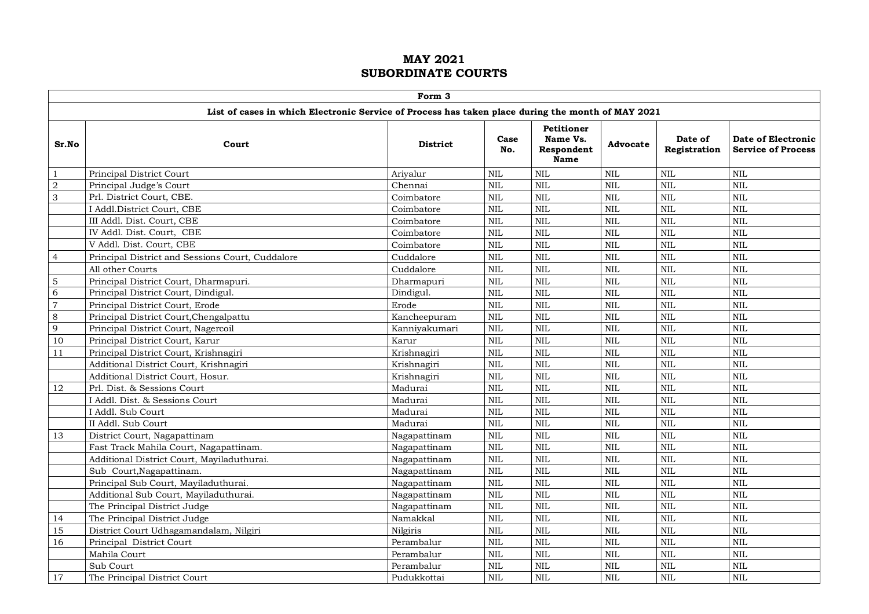|                |                                                                                                   | Form 3          |              |                                                            |              |                         |                                                 |
|----------------|---------------------------------------------------------------------------------------------------|-----------------|--------------|------------------------------------------------------------|--------------|-------------------------|-------------------------------------------------|
|                | List of cases in which Electronic Service of Process has taken place during the month of MAY 2021 |                 |              |                                                            |              |                         |                                                 |
| Sr.No          | Court                                                                                             | <b>District</b> | Case<br>No.  | <b>Petitioner</b><br>Name Vs.<br>Respondent<br><b>Name</b> | Advocate     | Date of<br>Registration | Date of Electronic<br><b>Service of Process</b> |
| $\mathbf{1}$   | Principal District Court                                                                          | Arivalur        | $\rm NIL$    | <b>NIL</b>                                                 | <b>NIL</b>   | $\mbox{NIL}$            | <b>NIL</b>                                      |
| $\overline{2}$ | Principal Judge's Court                                                                           | Chennai         | $\mbox{NIL}$ | NIL                                                        | <b>NIL</b>   | $\mbox{NIL}$            | <b>NIL</b>                                      |
| 3              | Prl. District Court, CBE.                                                                         | Coimbatore      | $\rm NIL$    | NIL                                                        | <b>NIL</b>   | <b>NIL</b>              | <b>NIL</b>                                      |
|                | I Addl.District Court, CBE                                                                        | Coimbatore      | $\rm NIL$    | NIL                                                        | <b>NIL</b>   | NIL                     | <b>NIL</b>                                      |
|                | III Addl. Dist. Court, CBE                                                                        | Coimbatore      | <b>NIL</b>   | <b>NIL</b>                                                 | <b>NIL</b>   | <b>NIL</b>              | <b>NIL</b>                                      |
|                | IV Addl. Dist. Court, CBE                                                                         | Coimbatore      | <b>NIL</b>   | NIL                                                        | <b>NIL</b>   | <b>NIL</b>              | <b>NIL</b>                                      |
|                | V Addl. Dist. Court, CBE                                                                          | Coimbatore      | $\mbox{NIL}$ | NIL                                                        | <b>NIL</b>   | $\mbox{NIL}$            | <b>NIL</b>                                      |
| $\overline{4}$ | Principal District and Sessions Court, Cuddalore                                                  | Cuddalore       | $\rm NIL$    | NIL                                                        | <b>NIL</b>   | $\mbox{NIL}$            | <b>NIL</b>                                      |
|                | All other Courts                                                                                  | Cuddalore       | <b>NIL</b>   | NIL                                                        | <b>NIL</b>   | <b>NIL</b>              | <b>NIL</b>                                      |
| 5              | Principal District Court, Dharmapuri.                                                             | Dharmapuri      | <b>NIL</b>   | <b>NIL</b>                                                 | <b>NIL</b>   | <b>NIL</b>              | <b>NIL</b>                                      |
| 6              | Principal District Court, Dindigul.                                                               | Dindigul.       | <b>NIL</b>   | <b>NIL</b>                                                 | <b>NIL</b>   | <b>NIL</b>              | <b>NIL</b>                                      |
| $\overline{7}$ | Principal District Court, Erode                                                                   | Erode           | $\mbox{NIL}$ | <b>NIL</b>                                                 | <b>NIL</b>   | <b>NIL</b>              | <b>NIL</b>                                      |
| 8              | Principal District Court, Chengalpattu                                                            | Kancheepuram    | $\mbox{NIL}$ | <b>NIL</b>                                                 | <b>NIL</b>   | <b>NIL</b>              | <b>NIL</b>                                      |
| 9              | Principal District Court, Nagercoil                                                               | Kanniyakumari   | $\mbox{NIL}$ | NIL                                                        | <b>NIL</b>   | <b>NIL</b>              | <b>NIL</b>                                      |
| 10             | Principal District Court, Karur                                                                   | Karur           | $\mbox{NIL}$ | <b>NIL</b>                                                 | <b>NIL</b>   | <b>NIL</b>              | <b>NIL</b>                                      |
| 11             | Principal District Court, Krishnagiri                                                             | Krishnagiri     | <b>NIL</b>   | <b>NIL</b>                                                 | <b>NIL</b>   | <b>NIL</b>              | <b>NIL</b>                                      |
|                | Additional District Court, Krishnagiri                                                            | Krishnagiri     | <b>NIL</b>   | <b>NIL</b>                                                 | <b>NIL</b>   | <b>NIL</b>              | <b>NIL</b>                                      |
|                | Additional District Court, Hosur.                                                                 | Krishnagiri     | <b>NIL</b>   | <b>NIL</b>                                                 | <b>NIL</b>   | <b>NIL</b>              | <b>NIL</b>                                      |
| 12             | Prl. Dist. & Sessions Court                                                                       | Madurai         | <b>NIL</b>   | NIL                                                        | <b>NIL</b>   | <b>NIL</b>              | <b>NIL</b>                                      |
|                | I Addl. Dist. & Sessions Court                                                                    | Madurai         | <b>NIL</b>   | <b>NIL</b>                                                 | <b>NIL</b>   | <b>NIL</b>              | <b>NIL</b>                                      |
|                | I Addl. Sub Court                                                                                 | Madurai         | <b>NIL</b>   | <b>NIL</b>                                                 | <b>NIL</b>   | <b>NIL</b>              | <b>NIL</b>                                      |
|                | II Addl. Sub Court                                                                                | Madurai         | <b>NIL</b>   | <b>NIL</b>                                                 | <b>NIL</b>   | <b>NIL</b>              | <b>NIL</b>                                      |
| 13             | District Court, Nagapattinam                                                                      | Nagapattinam    | <b>NIL</b>   | <b>NIL</b>                                                 | <b>NIL</b>   | <b>NIL</b>              | <b>NIL</b>                                      |
|                | Fast Track Mahila Court, Nagapattinam.                                                            | Nagapattinam    | $\text{NIL}$ | <b>NIL</b>                                                 | <b>NIL</b>   | <b>NIL</b>              | <b>NIL</b>                                      |
|                | Additional District Court, Mayiladuthurai.                                                        | Nagapattinam    | <b>NIL</b>   | <b>NIL</b>                                                 | <b>NIL</b>   | <b>NIL</b>              | <b>NIL</b>                                      |
|                | Sub Court, Nagapattinam.                                                                          | Nagapattinam    | <b>NIL</b>   | <b>NIL</b>                                                 | <b>NIL</b>   | <b>NIL</b>              | <b>NIL</b>                                      |
|                | Principal Sub Court, Mayiladuthurai.                                                              | Nagapattinam    | $\mbox{NIL}$ | <b>NIL</b>                                                 | <b>NIL</b>   | <b>NIL</b>              | <b>NIL</b>                                      |
|                | Additional Sub Court, Mayiladuthurai.                                                             | Nagapattinam    | $\mbox{NIL}$ | <b>NIL</b>                                                 | <b>NIL</b>   | <b>NIL</b>              | <b>NIL</b>                                      |
|                | The Principal District Judge                                                                      | Nagapattinam    | $\mbox{NIL}$ | <b>NIL</b>                                                 | <b>NIL</b>   | $\mbox{NIL}$            | <b>NIL</b>                                      |
| 14             | The Principal District Judge                                                                      | Namakkal        | $\mbox{NIL}$ | <b>NIL</b>                                                 | <b>NIL</b>   | <b>NIL</b>              | <b>NIL</b>                                      |
| 15             | District Court Udhagamandalam, Nilgiri                                                            | Nilgiris        | <b>NIL</b>   | <b>NIL</b>                                                 | <b>NIL</b>   | <b>NIL</b>              | <b>NIL</b>                                      |
| 16             | Principal District Court                                                                          | Perambalur      | <b>NIL</b>   | <b>NIL</b>                                                 | <b>NIL</b>   | <b>NIL</b>              | <b>NIL</b>                                      |
|                | Mahila Court                                                                                      | Perambalur      | $\rm NIL$    | <b>NIL</b>                                                 | <b>NIL</b>   | <b>NIL</b>              | <b>NIL</b>                                      |
|                | Sub Court                                                                                         | Perambalur      | <b>NIL</b>   | <b>NIL</b>                                                 | $\mbox{NIL}$ | <b>NIL</b>              | <b>NIL</b>                                      |
| 17             | The Principal District Court                                                                      | Pudukkottai     | $\mbox{NIL}$ | <b>NIL</b>                                                 | <b>NIL</b>   | $\mbox{NIL}$            | <b>NIL</b>                                      |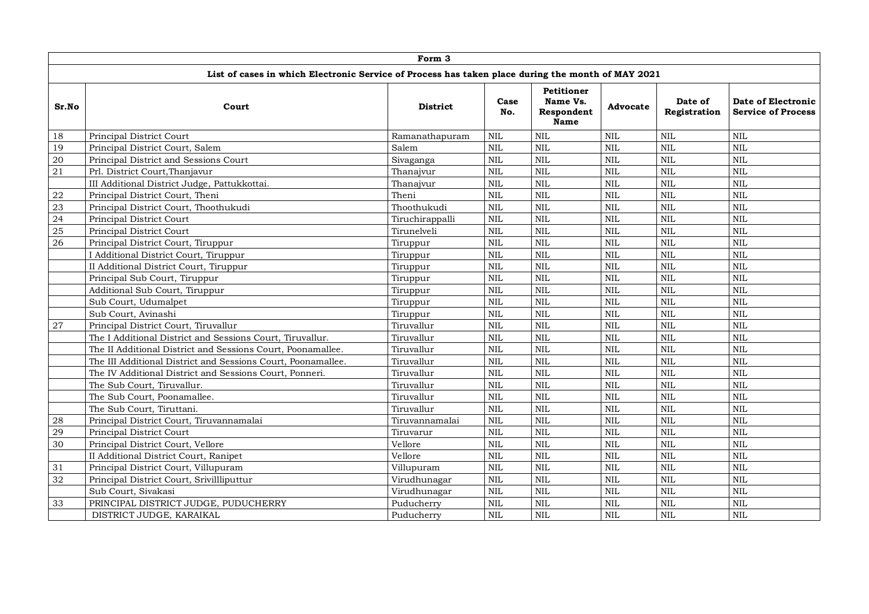|       |                                                                                                   | Form 3          |             |                                                     |                 |                         |                                                 |
|-------|---------------------------------------------------------------------------------------------------|-----------------|-------------|-----------------------------------------------------|-----------------|-------------------------|-------------------------------------------------|
|       | List of cases in which Electronic Service of Process has taken place during the month of MAY 2021 |                 |             |                                                     |                 |                         |                                                 |
| Sr.No | Court                                                                                             | <b>District</b> | Case<br>No. | <b>Petitioner</b><br>Name Vs.<br>Respondent<br>Name | <b>Advocate</b> | Date of<br>Registration | Date of Electronic<br><b>Service of Process</b> |
| 18    | Principal District Court                                                                          | Ramanathapuram  | <b>NIL</b>  | <b>NIL</b>                                          | $\mbox{NIL}$    | <b>NIL</b>              | <b>NIL</b>                                      |
| 19    | Principal District Court, Salem                                                                   | Salem           | <b>NIL</b>  | <b>NIL</b>                                          | <b>NIL</b>      | <b>NIL</b>              | <b>NIL</b>                                      |
| 20    | Principal District and Sessions Court                                                             | Sivaganga       | <b>NIL</b>  | <b>NIL</b>                                          | <b>NIL</b>      | <b>NIL</b>              | <b>NIL</b>                                      |
| 21    | Prl. District Court, Thanjavur                                                                    | Thanajvur       | <b>NIL</b>  | <b>NIL</b>                                          | $\mbox{NIL}$    | <b>NIL</b>              | <b>NIL</b>                                      |
|       | III Additional District Judge, Pattukkottai.                                                      | Thanajvur       | <b>NIL</b>  | <b>NIL</b>                                          | <b>NIL</b>      | <b>NIL</b>              | <b>NIL</b>                                      |
| 22    | Principal District Court, Theni                                                                   | Theni           | <b>NIL</b>  | <b>NIL</b>                                          | $\mbox{NIL}$    | <b>NIL</b>              | <b>NIL</b>                                      |
| 23    | Principal District Court, Thoothukudi                                                             | Thoothukudi     | <b>NIL</b>  | <b>NIL</b>                                          | $\text{NIL}$    | <b>NIL</b>              | <b>NIL</b>                                      |
| 24    | Principal District Court                                                                          | Tiruchirappalli | NIL         | <b>NIL</b>                                          | $\mbox{NIL}$    | <b>NIL</b>              | <b>NIL</b>                                      |
| 25    | Principal District Court                                                                          | Tirunelveli     | <b>NIL</b>  | <b>NIL</b>                                          | <b>NIL</b>      | <b>NIL</b>              | <b>NIL</b>                                      |
| 26    | Principal District Court, Tiruppur                                                                | Tiruppur        | NIL         | <b>NIL</b>                                          | <b>NIL</b>      | <b>NIL</b>              | NIL                                             |
|       | I Additional District Court, Tiruppur                                                             | Tiruppur        | <b>NIL</b>  | <b>NIL</b>                                          | <b>NIL</b>      | <b>NIL</b>              | <b>NIL</b>                                      |
|       | II Additional District Court, Tiruppur                                                            | Tiruppur        | <b>NIL</b>  | <b>NIL</b>                                          | $\mbox{NIL}$    | <b>NIL</b>              | NIL                                             |
|       | Principal Sub Court, Tiruppur                                                                     | Tiruppur        | <b>NIL</b>  | <b>NIL</b>                                          | <b>NIL</b>      | <b>NIL</b>              | <b>NIL</b>                                      |
|       | Additional Sub Court, Tiruppur                                                                    | Tiruppur        | <b>NIL</b>  | <b>NIL</b>                                          | <b>NIL</b>      | <b>NIL</b>              | <b>NIL</b>                                      |
|       | Sub Court, Udumalpet                                                                              | Tiruppur        | <b>NIL</b>  | <b>NIL</b>                                          | NIL             | NIL                     | NIL                                             |
|       | Sub Court, Avinashi                                                                               | Tiruppur        | <b>NIL</b>  | <b>NIL</b>                                          | $\mbox{NIL}$    | NIL                     | $\mbox{NIL}$                                    |
| 27    | Principal District Court, Tiruvallur                                                              | Tiruvallur      | <b>NIL</b>  | <b>NIL</b>                                          | <b>NIL</b>      | <b>NIL</b>              | <b>NIL</b>                                      |
|       | The I Additional District and Sessions Court, Tiruvallur.                                         | Tiruvallur      | <b>NIL</b>  | <b>NIL</b>                                          | <b>NIL</b>      | <b>NIL</b>              | <b>NIL</b>                                      |
|       | The II Additional District and Sessions Court, Poonamallee.                                       | Tiruvallur      | <b>NIL</b>  | <b>NIL</b>                                          | <b>NIL</b>      | <b>NIL</b>              | <b>NIL</b>                                      |
|       | The III Additional District and Sessions Court, Poonamallee.                                      | Tiruvallur      | <b>NIL</b>  | <b>NIL</b>                                          | <b>NIL</b>      | <b>NIL</b>              | <b>NIL</b>                                      |
|       | The IV Additional District and Sessions Court, Ponneri.                                           | Tiruvallur      | <b>NIL</b>  | <b>NIL</b>                                          | $\mbox{NIL}$    | <b>NIL</b>              | <b>NIL</b>                                      |
|       | The Sub Court, Tiruvallur.                                                                        | Tiruvallur      | <b>NIL</b>  | <b>NIL</b>                                          | $\mbox{NIL}$    | <b>NIL</b>              | NIL                                             |
|       | The Sub Court, Poonamallee.                                                                       | Tiruvallur      | <b>NIL</b>  | <b>NIL</b>                                          | <b>NIL</b>      | NIL                     | <b>NIL</b>                                      |
|       | The Sub Court, Tiruttani.                                                                         | Tiruvallur      | <b>NIL</b>  | <b>NIL</b>                                          | $\mbox{NIL}$    | <b>NIL</b>              | NIL                                             |
| 28    | Principal District Court, Tiruvannamalai                                                          | Tiruvannamalai  | <b>NIL</b>  | <b>NIL</b>                                          | <b>NIL</b>      | <b>NIL</b>              | $\mbox{NIL}$                                    |
| 29    | Principal District Court                                                                          | Tiruvarur       | <b>NIL</b>  | <b>NIL</b>                                          | <b>NIL</b>      | <b>NIL</b>              | <b>NIL</b>                                      |
| 30    | Principal District Court, Vellore                                                                 | Vellore         | <b>NIL</b>  | <b>NIL</b>                                          | <b>NIL</b>      | <b>NIL</b>              | <b>NIL</b>                                      |
|       | II Additional District Court, Ranipet                                                             | Vellore         | <b>NIL</b>  | <b>NIL</b>                                          | <b>NIL</b>      | <b>NIL</b>              | <b>NIL</b>                                      |
| 31    | Principal District Court, Villupuram                                                              | Villupuram      | <b>NIL</b>  | <b>NIL</b>                                          | $\mbox{NIL}$    | <b>NIL</b>              | NIL                                             |
| 32    | Principal District Court, Srivillliputtur                                                         | Virudhunagar    | <b>NIL</b>  | <b>NIL</b>                                          | $\mbox{NIL}$    | <b>NIL</b>              | $\mbox{NIL}$                                    |
|       | Sub Court, Sivakasi                                                                               | Virudhunagar    | <b>NIL</b>  | <b>NIL</b>                                          | <b>NIL</b>      | <b>NIL</b>              | NIL                                             |
| 33    | PRINCIPAL DISTRICT JUDGE, PUDUCHERRY                                                              | Puducherry      | <b>NIL</b>  | <b>NIL</b>                                          | <b>NIL</b>      | <b>NIL</b>              | <b>NIL</b>                                      |
|       | DISTRICT JUDGE, KARAIKAL                                                                          | Puducherry      | <b>NIL</b>  | <b>NIL</b>                                          | <b>NIL</b>      | <b>NIL</b>              | <b>NIL</b>                                      |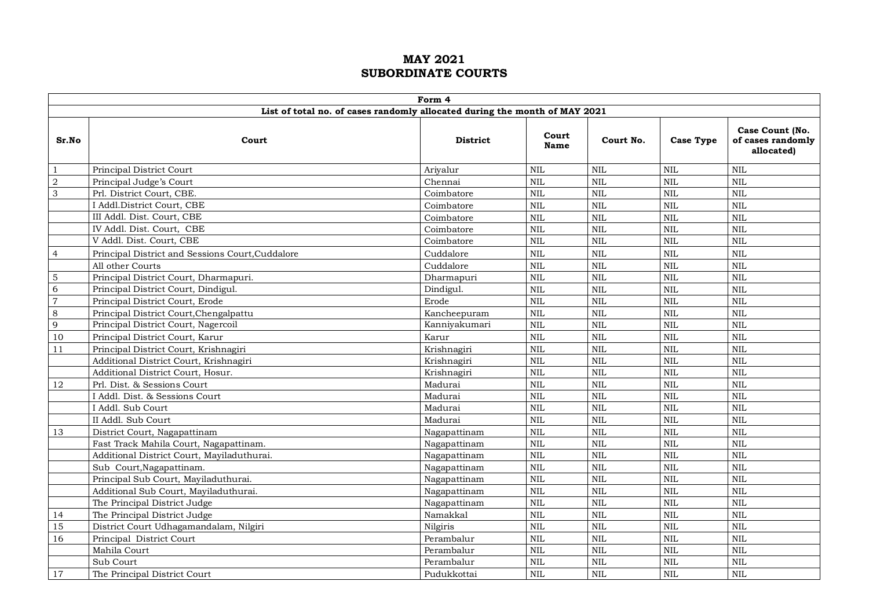|                |                                                  | Form 4                                                                     |                      |            |                  |                                                    |
|----------------|--------------------------------------------------|----------------------------------------------------------------------------|----------------------|------------|------------------|----------------------------------------------------|
|                |                                                  | List of total no. of cases randomly allocated during the month of MAY 2021 |                      |            |                  |                                                    |
| Sr.No          | Court                                            | <b>District</b>                                                            | Court<br><b>Name</b> | Court No.  | <b>Case Type</b> | Case Count (No.<br>of cases randomly<br>allocated) |
| -1             | Principal District Court                         | Ariyalur                                                                   | <b>NIL</b>           | <b>NIL</b> | <b>NIL</b>       | <b>NIL</b>                                         |
| $\sqrt{2}$     | Principal Judge's Court                          | Chennai                                                                    | <b>NIL</b>           | <b>NIL</b> | <b>NIL</b>       | <b>NIL</b>                                         |
| 3              | Prl. District Court, CBE.                        | Coimbatore                                                                 | <b>NIL</b>           | <b>NIL</b> | <b>NIL</b>       | <b>NIL</b>                                         |
|                | I Addl.District Court, CBE                       | Coimbatore                                                                 | <b>NIL</b>           | <b>NIL</b> | <b>NIL</b>       | <b>NIL</b>                                         |
|                | III Addl. Dist. Court, CBE                       | Coimbatore                                                                 | <b>NIL</b>           | <b>NIL</b> | <b>NIL</b>       | <b>NIL</b>                                         |
|                | IV Addl. Dist. Court, CBE                        | Coimbatore                                                                 | <b>NIL</b>           | <b>NIL</b> | <b>NIL</b>       | <b>NIL</b>                                         |
|                | V Addl. Dist. Court, CBE                         | Coimbatore                                                                 | <b>NIL</b>           | <b>NIL</b> | <b>NIL</b>       | <b>NIL</b>                                         |
| $\overline{4}$ | Principal District and Sessions Court, Cuddalore | Cuddalore                                                                  | <b>NIL</b>           | <b>NIL</b> | <b>NIL</b>       | <b>NIL</b>                                         |
|                | All other Courts                                 | Cuddalore                                                                  | <b>NIL</b>           | <b>NIL</b> | <b>NIL</b>       | <b>NIL</b>                                         |
| 5              | Principal District Court, Dharmapuri.            | Dharmapuri                                                                 | <b>NIL</b>           | <b>NIL</b> | <b>NIL</b>       | <b>NIL</b>                                         |
| 6              | Principal District Court, Dindigul.              | Dindigul.                                                                  | <b>NIL</b>           | <b>NIL</b> | <b>NIL</b>       | <b>NIL</b>                                         |
| $\overline{7}$ | Principal District Court, Erode                  | Erode                                                                      | <b>NIL</b>           | <b>NIL</b> | <b>NIL</b>       | <b>NIL</b>                                         |
| $\,8\,$        | Principal District Court, Chengalpattu           | Kancheepuram                                                               | <b>NIL</b>           | <b>NIL</b> | $\rm NIL$        | <b>NIL</b>                                         |
| 9              | Principal District Court, Nagercoil              | Kanniyakumari                                                              | <b>NIL</b>           | <b>NIL</b> | <b>NIL</b>       | <b>NIL</b>                                         |
| 10             | Principal District Court, Karur                  | Karur                                                                      | <b>NIL</b>           | <b>NIL</b> | $\mbox{NIL}$     | <b>NIL</b>                                         |
| 11             | Principal District Court, Krishnagiri            | Krishnagiri                                                                | <b>NIL</b>           | <b>NIL</b> | <b>NIL</b>       | <b>NIL</b>                                         |
|                | Additional District Court, Krishnagiri           | Krishnagiri                                                                | <b>NIL</b>           | <b>NIL</b> | <b>NIL</b>       | <b>NIL</b>                                         |
|                | Additional District Court, Hosur.                | Krishnagiri                                                                | <b>NIL</b>           | <b>NIL</b> | $\rm NIL$        | <b>NIL</b>                                         |
| 12             | Prl. Dist. & Sessions Court                      | Madurai                                                                    | <b>NIL</b>           | <b>NIL</b> | <b>NIL</b>       | <b>NIL</b>                                         |
|                | I Addl. Dist. & Sessions Court                   | Madurai                                                                    | <b>NIL</b>           | NIL        | $\mbox{NIL}$     | <b>NIL</b>                                         |
|                | I Addl. Sub Court                                | Madurai                                                                    | <b>NIL</b>           | <b>NIL</b> | $\rm NIL$        | <b>NIL</b>                                         |
|                | II Addl. Sub Court                               | Madurai                                                                    | <b>NIL</b>           | <b>NIL</b> | <b>NIL</b>       | <b>NIL</b>                                         |
| 13             | District Court, Nagapattinam                     | Nagapattinam                                                               | <b>NIL</b>           | <b>NIL</b> | $\mbox{NIL}$     | <b>NIL</b>                                         |
|                | Fast Track Mahila Court, Nagapattinam.           | Nagapattinam                                                               | <b>NIL</b>           | <b>NIL</b> | <b>NIL</b>       | <b>NIL</b>                                         |
|                | Additional District Court, Mayiladuthurai.       | Nagapattinam                                                               | <b>NIL</b>           | <b>NIL</b> | <b>NIL</b>       | <b>NIL</b>                                         |
|                | Sub Court, Nagapattinam.                         | Nagapattinam                                                               | <b>NIL</b>           | <b>NIL</b> | <b>NIL</b>       | <b>NIL</b>                                         |
|                | Principal Sub Court, Mayiladuthurai.             | Nagapattinam                                                               | <b>NIL</b>           | <b>NIL</b> | <b>NIL</b>       | <b>NIL</b>                                         |
|                | Additional Sub Court, Mayiladuthurai.            | Nagapattinam                                                               | <b>NIL</b>           | <b>NIL</b> | <b>NIL</b>       | $\mbox{NIL}$                                       |
|                | The Principal District Judge                     | Nagapattinam                                                               | <b>NIL</b>           | <b>NIL</b> | <b>NIL</b>       | <b>NIL</b>                                         |
| 14             | The Principal District Judge                     | Namakkal                                                                   | <b>NIL</b>           | <b>NIL</b> | <b>NIL</b>       | <b>NIL</b>                                         |
| 15             | District Court Udhagamandalam, Nilgiri           | Nilgiris                                                                   | <b>NIL</b>           | <b>NIL</b> | $\rm NIL$        | <b>NIL</b>                                         |
| 16             | Principal District Court                         | Perambalur                                                                 | <b>NIL</b>           | <b>NIL</b> | <b>NIL</b>       | <b>NIL</b>                                         |
|                | Mahila Court                                     | Perambalur                                                                 | <b>NIL</b>           | <b>NIL</b> | <b>NIL</b>       | <b>NIL</b>                                         |
|                | Sub Court                                        | Perambalur                                                                 | <b>NIL</b>           | <b>NIL</b> | <b>NIL</b>       | <b>NIL</b>                                         |
| 17             | The Principal District Court                     | Pudukkottai                                                                | <b>NIL</b>           | <b>NIL</b> | <b>NIL</b>       | <b>NIL</b>                                         |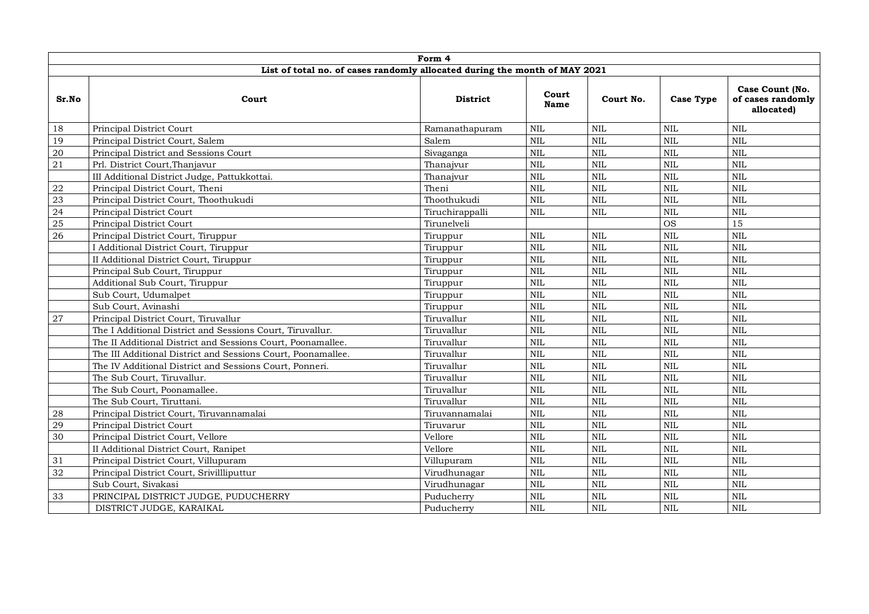|            |                                                                            | Form 4          |                      |              |                  |                                                    |
|------------|----------------------------------------------------------------------------|-----------------|----------------------|--------------|------------------|----------------------------------------------------|
|            | List of total no. of cases randomly allocated during the month of MAY 2021 |                 |                      |              |                  |                                                    |
| Sr.No      | Court                                                                      | <b>District</b> | Court<br><b>Name</b> | Court No.    | <b>Case Type</b> | Case Count (No.<br>of cases randomly<br>allocated) |
| 18         | Principal District Court                                                   | Ramanathapuram  | $\mbox{NIL}$         | <b>NIL</b>   | <b>NIL</b>       | <b>NIL</b>                                         |
| 19         | Principal District Court, Salem                                            | Salem           | $\mbox{NIL}$         | <b>NIL</b>   | <b>NIL</b>       | <b>NIL</b>                                         |
| $20\,$     | Principal District and Sessions Court                                      | Sivaganga       | $\mbox{NIL}$         | <b>NIL</b>   | <b>NIL</b>       | <b>NIL</b>                                         |
| 21         | Prl. District Court, Thanjavur                                             | Thanajvur       | $\mbox{NIL}$         | <b>NIL</b>   | <b>NIL</b>       | <b>NIL</b>                                         |
|            | III Additional District Judge, Pattukkottai.                               | Thanajvur       | $\mbox{NIL}$         | <b>NIL</b>   | <b>NIL</b>       | NIL                                                |
| ${\bf 22}$ | Principal District Court, Theni                                            | Theni           | $\mbox{NIL}$         | <b>NIL</b>   | <b>NIL</b>       | $\mbox{NIL}$                                       |
| $23\,$     | Principal District Court, Thoothukudi                                      | Thoothukudi     | <b>NIL</b>           | <b>NIL</b>   | <b>NIL</b>       | $\mbox{NIL}$                                       |
| 24         | Principal District Court                                                   | Tiruchirappalli | <b>NIL</b>           | <b>NIL</b>   | <b>NIL</b>       | <b>NIL</b>                                         |
| 25         | Principal District Court                                                   | Tirunelveli     |                      |              | <b>OS</b>        | 15                                                 |
| 26         | Principal District Court, Tiruppur                                         | Tiruppur        | <b>NIL</b>           | <b>NIL</b>   | <b>NIL</b>       | NIL                                                |
|            | I Additional District Court, Tiruppur                                      | Tiruppur        | $\mbox{NIL}$         | $\mbox{NIL}$ | <b>NIL</b>       | <b>NIL</b>                                         |
|            | II Additional District Court, Tiruppur                                     | Tiruppur        | $\mbox{NIL}$         | <b>NIL</b>   | <b>NIL</b>       | <b>NIL</b>                                         |
|            | Principal Sub Court, Tiruppur                                              | Tiruppur        | $\mbox{NIL}$         | <b>NIL</b>   | <b>NIL</b>       | <b>NIL</b>                                         |
|            | Additional Sub Court, Tiruppur                                             | Tiruppur        | $\mbox{NIL}$         | <b>NIL</b>   | <b>NIL</b>       | $\mbox{NIL}$                                       |
|            | Sub Court, Udumalpet                                                       | Tiruppur        | NIL                  | $\mbox{NIL}$ | <b>NIL</b>       | <b>NIL</b>                                         |
|            | Sub Court, Avinashi                                                        | Tiruppur        | <b>NIL</b>           | <b>NIL</b>   | <b>NIL</b>       | <b>NIL</b>                                         |
| 27         | Principal District Court, Tiruvallur                                       | Tiruvallur      | NIL                  | $\mbox{NIL}$ | <b>NIL</b>       | $\mbox{NIL}$                                       |
|            | The I Additional District and Sessions Court, Tiruvallur.                  | Tiruvallur      | $\mbox{NIL}$         | <b>NIL</b>   | <b>NIL</b>       | <b>NIL</b>                                         |
|            | The II Additional District and Sessions Court, Poonamallee.                | Tiruvallur      | <b>NIL</b>           | <b>NIL</b>   | <b>NIL</b>       | <b>NIL</b>                                         |
|            | The III Additional District and Sessions Court, Poonamallee.               | Tiruvallur      | $\mbox{NIL}$         | <b>NIL</b>   | <b>NIL</b>       | $\mbox{NIL}$                                       |
|            | The IV Additional District and Sessions Court, Ponneri.                    | Tiruvallur      | $\mbox{NIL}$         | $\mbox{NIL}$ | <b>NIL</b>       | NIL                                                |
|            | The Sub Court, Tiruvallur.                                                 | Tiruvallur      | <b>NIL</b>           | $\mbox{NIL}$ | <b>NIL</b>       | $\mbox{NIL}$                                       |
|            | The Sub Court, Poonamallee.                                                | Tiruvallur      | $\mbox{NIL}$         | $\mbox{NIL}$ | NIL              | <b>NIL</b>                                         |
|            | The Sub Court, Tiruttani.                                                  | Tiruvallur      | $\mbox{NIL}$         | <b>NIL</b>   | <b>NIL</b>       | NIL                                                |
| 28         | Principal District Court, Tiruvannamalai                                   | Tiruvannamalai  | $\text{NIL}$         | <b>NIL</b>   | <b>NIL</b>       | <b>NIL</b>                                         |
| 29         | Principal District Court                                                   | Tiruvarur       | $\mbox{NIL}$         | <b>NIL</b>   | <b>NIL</b>       | <b>NIL</b>                                         |
| 30         | Principal District Court, Vellore                                          | Vellore         | $\mbox{NIL}$         | <b>NIL</b>   | <b>NIL</b>       | <b>NIL</b>                                         |
|            | II Additional District Court, Ranipet                                      | Vellore         | $\mbox{NIL}$         | $\mbox{NIL}$ | <b>NIL</b>       | $\mbox{NIL}$                                       |
| 31         | Principal District Court, Villupuram                                       | Villupuram      | $\mbox{NIL}$         | <b>NIL</b>   | <b>NIL</b>       | NIL                                                |
| 32         | Principal District Court, Srivillliputtur                                  | Virudhunagar    | $\mbox{NIL}$         | <b>NIL</b>   | <b>NIL</b>       | $\mbox{NIL}$                                       |
|            | Sub Court, Sivakasi                                                        | Virudhunagar    | $\mbox{NIL}$         | <b>NIL</b>   | <b>NIL</b>       | NIL                                                |
| 33         | PRINCIPAL DISTRICT JUDGE, PUDUCHERRY                                       | Puducherry      | $\mbox{NIL}$         | <b>NIL</b>   | <b>NIL</b>       | NIL                                                |
|            | DISTRICT JUDGE, KARAIKAL                                                   | Puducherry      | <b>NIL</b>           | <b>NIL</b>   | <b>NIL</b>       | NIL                                                |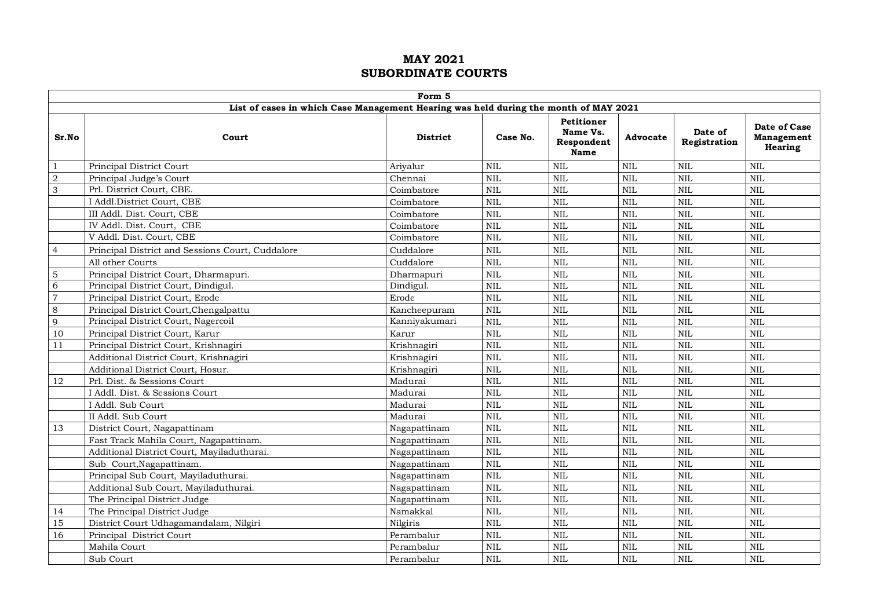|                |                                                                                      | Form 5          |              |                                                            |              |                         |                                              |
|----------------|--------------------------------------------------------------------------------------|-----------------|--------------|------------------------------------------------------------|--------------|-------------------------|----------------------------------------------|
|                | List of cases in which Case Management Hearing was held during the month of MAY 2021 |                 |              |                                                            |              |                         |                                              |
| Sr.No          | Court                                                                                | <b>District</b> | Case No.     | <b>Petitioner</b><br>Name Vs.<br>Respondent<br><b>Name</b> | Advocate     | Date of<br>Registration | Date of Case<br><b>Management</b><br>Hearing |
| $\mathbf{1}$   | Principal District Court                                                             | Ariyalur        | $\mbox{NIL}$ | <b>NIL</b>                                                 | $\mbox{NIL}$ | $\text{NIL}$            | <b>NIL</b>                                   |
| $\overline{2}$ | Principal Judge's Court                                                              | Chennai         | NIL          | <b>NIL</b>                                                 | $\mbox{NIL}$ | <b>NIL</b>              | <b>NIL</b>                                   |
| 3              | Prl. District Court, CBE.                                                            | Coimbatore      | $\mbox{NIL}$ | <b>NIL</b>                                                 | $\mbox{NIL}$ | $\mbox{NIL}$            | <b>NIL</b>                                   |
|                | I Addl.District Court, CBE                                                           | Coimbatore      | $\mbox{NIL}$ | <b>NIL</b>                                                 | $\mbox{NIL}$ | <b>NIL</b>              | <b>NIL</b>                                   |
|                | III Addl. Dist. Court, CBE                                                           | Coimbatore      | $\mbox{NIL}$ | <b>NIL</b>                                                 | $\mbox{NIL}$ | <b>NIL</b>              | <b>NIL</b>                                   |
|                | IV Addl. Dist. Court, CBE                                                            | Coimbatore      | NIL          | <b>NIL</b>                                                 | NIL          | <b>NIL</b>              | <b>NIL</b>                                   |
|                | V Addl. Dist. Court. CBE                                                             | Coimbatore      | <b>NIL</b>   | <b>NIL</b>                                                 | <b>NIL</b>   | <b>NIL</b>              | <b>NIL</b>                                   |
| $\overline{4}$ | Principal District and Sessions Court, Cuddalore                                     | Cuddalore       | <b>NIL</b>   | <b>NIL</b>                                                 | <b>NIL</b>   | $\text{NIL}$            | <b>NIL</b>                                   |
|                | All other Courts                                                                     | Cuddalore       | $\mbox{NIL}$ | <b>NIL</b>                                                 | NIL          | $\text{NIL}$            | <b>NIL</b>                                   |
| 5              | Principal District Court, Dharmapuri.                                                | Dharmapuri      | <b>NIL</b>   | <b>NIL</b>                                                 | $\rm NIL$    | $\text{NIL}$            | <b>NIL</b>                                   |
| 6              | Principal District Court, Dindigul.                                                  | Dindigul.       | $\rm NIL$    | <b>NIL</b>                                                 | $\rm NIL$    | <b>NIL</b>              | <b>NIL</b>                                   |
| $\overline{7}$ | Principal District Court, Erode                                                      | Erode           | NIL          | <b>NIL</b>                                                 | NIL          | <b>NIL</b>              | <b>NIL</b>                                   |
| 8              | Principal District Court, Chengalpattu                                               | Kancheepuram    | <b>NIL</b>   | <b>NIL</b>                                                 | <b>NIL</b>   | <b>NIL</b>              | <b>NIL</b>                                   |
| 9              | Principal District Court, Nagercoil                                                  | Kanniyakumari   | <b>NIL</b>   | <b>NIL</b>                                                 | NIL          | <b>NIL</b>              | <b>NIL</b>                                   |
| 10             | Principal District Court, Karur                                                      | Karur           | NIL          | <b>NIL</b>                                                 | NIL          | <b>NIL</b>              | <b>NIL</b>                                   |
| $1\,1$         | Principal District Court, Krishnagiri                                                | Krishnagiri     | $\rm NIL$    | <b>NIL</b>                                                 | NIL          | $\mbox{NIL}$            | <b>NIL</b>                                   |
|                | Additional District Court, Krishnagiri                                               | Krishnagiri     | <b>NIL</b>   | <b>NIL</b>                                                 | $\mbox{NIL}$ | <b>NIL</b>              | <b>NIL</b>                                   |
|                | Additional District Court, Hosur.                                                    | Krishnagiri     | $\rm NIL$    | <b>NIL</b>                                                 | $\mbox{NIL}$ | <b>NIL</b>              | <b>NIL</b>                                   |
| 12             | Prl. Dist. & Sessions Court                                                          | Madurai         | NIL          | <b>NIL</b>                                                 | NIL          | <b>NIL</b>              | <b>NIL</b>                                   |
|                | I Addl. Dist. & Sessions Court                                                       | Madurai         | NIL          | <b>NIL</b>                                                 | NIL          | <b>NIL</b>              | <b>NIL</b>                                   |
|                | I Addl. Sub Court                                                                    | Madurai         | NIL          | <b>NIL</b>                                                 | NIL          | <b>NIL</b>              | <b>NIL</b>                                   |
|                | II Addl. Sub Court                                                                   | Madurai         | $\rm NIL$    | <b>NIL</b>                                                 | <b>NIL</b>   | $\text{NIL}$            | <b>NIL</b>                                   |
| 13             | District Court, Nagapattinam                                                         | Nagapattinam    | $\rm NIL$    | <b>NIL</b>                                                 | NIL          | <b>NIL</b>              | <b>NIL</b>                                   |
|                | Fast Track Mahila Court, Nagapattinam.                                               | Nagapattinam    | $\rm NIL$    | <b>NIL</b>                                                 | $\rm NIL$    | <b>NIL</b>              | <b>NIL</b>                                   |
|                | Additional District Court, Mayiladuthurai.                                           | Nagapattinam    | <b>NIL</b>   | <b>NIL</b>                                                 | <b>NIL</b>   | <b>NIL</b>              | <b>NIL</b>                                   |
|                | Sub Court, Nagapattinam.                                                             | Nagapattinam    | NIL          | <b>NIL</b>                                                 | NIL          | <b>NIL</b>              | <b>NIL</b>                                   |
|                | Principal Sub Court, Mayiladuthurai.                                                 | Nagapattinam    | $\mbox{NIL}$ | <b>NIL</b>                                                 | $\mbox{NIL}$ | <b>NIL</b>              | <b>NIL</b>                                   |
|                | Additional Sub Court, Mayiladuthurai.                                                | Nagapattinam    | <b>NIL</b>   | <b>NIL</b>                                                 | NIL          | <b>NIL</b>              | <b>NIL</b>                                   |
|                | The Principal District Judge                                                         | Nagapattinam    | $\rm NIL$    | <b>NIL</b>                                                 | NIL          | <b>NIL</b>              | <b>NIL</b>                                   |
| 14             | The Principal District Judge                                                         | Namakkal        | $\mbox{NIL}$ | <b>NIL</b>                                                 | $\mbox{NIL}$ | $\mbox{NIL}$            | $\mbox{NIL}$                                 |
| 15             | District Court Udhagamandalam, Nilgiri                                               | Nilgiris        | NIL          | <b>NIL</b>                                                 | $\rm NIL$    | <b>NIL</b>              | <b>NIL</b>                                   |
| 16             | Principal District Court                                                             | Perambalur      | NIL          | <b>NIL</b>                                                 | NIL          | <b>NIL</b>              | <b>NIL</b>                                   |
|                | Mahila Court                                                                         | Perambalur      | NIL          | <b>NIL</b>                                                 | NIL          | <b>NIL</b>              | <b>NIL</b>                                   |
|                | Sub Court                                                                            | Perambalur      | NIL          | <b>NIL</b>                                                 | NIL          | <b>NIL</b>              | <b>NIL</b>                                   |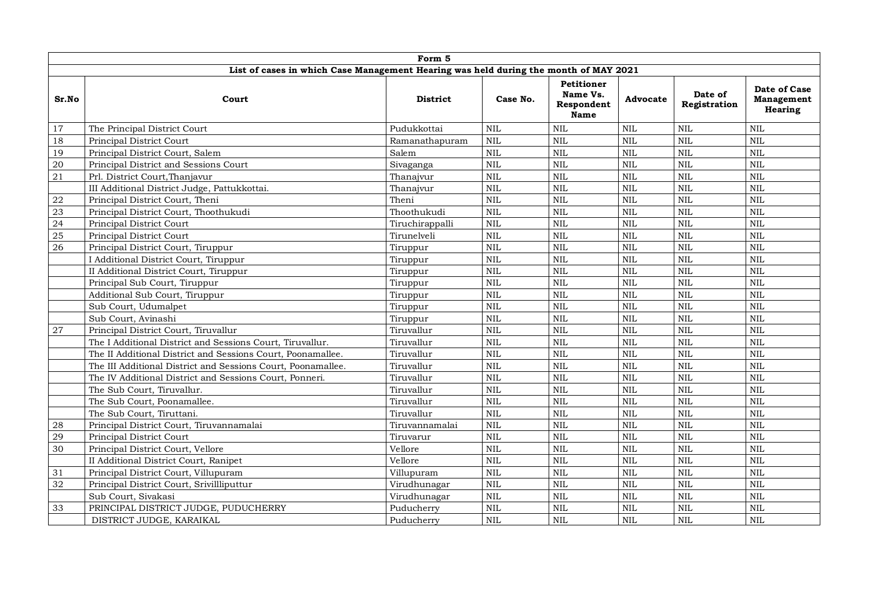|            |                                                                                      | Form 5                 |              |                                                            |              |                         |                                              |
|------------|--------------------------------------------------------------------------------------|------------------------|--------------|------------------------------------------------------------|--------------|-------------------------|----------------------------------------------|
|            | List of cases in which Case Management Hearing was held during the month of MAY 2021 |                        |              |                                                            |              |                         |                                              |
| Sr.No      | Court                                                                                | <b>District</b>        | Case No.     | <b>Petitioner</b><br>Name Vs.<br>Respondent<br><b>Name</b> | Advocate     | Date of<br>Registration | Date of Case<br>Management<br><b>Hearing</b> |
| 17         | The Principal District Court                                                         | Pudukkottai            | $\rm NIL$    | <b>NIL</b>                                                 | $\mbox{NIL}$ | $\mbox{NIL}$            | <b>NIL</b>                                   |
| 18         | Principal District Court                                                             | Ramanathapuram         | NIL          | <b>NIL</b>                                                 | NIL          | <b>NIL</b>              | <b>NIL</b>                                   |
| 19         | Principal District Court, Salem                                                      | $\operatorname{Salem}$ | $\mbox{NIL}$ | <b>NIL</b>                                                 | $\mbox{NIL}$ | $\mbox{NIL}$            | <b>NIL</b>                                   |
| 20         | Principal District and Sessions Court                                                | Sivaganga              | NIL          | <b>NIL</b>                                                 | NIL          | <b>NIL</b>              | <b>NIL</b>                                   |
| 21         | Prl. District Court, Thanjavur                                                       | Thanajvur              | $\mbox{NIL}$ | <b>NIL</b>                                                 | NIL          | NIL                     | <b>NIL</b>                                   |
|            | III Additional District Judge, Pattukkottai.                                         | Thanajvur              | NIL          | <b>NIL</b>                                                 | NIL          | <b>NIL</b>              | <b>NIL</b>                                   |
| ${\bf 22}$ | Principal District Court, Theni                                                      | Theni                  | NIL          | <b>NIL</b>                                                 | NIL          | <b>NIL</b>              | <b>NIL</b>                                   |
| 23         | Principal District Court, Thoothukudi                                                | Thoothukudi            | $\rm NIL$    | <b>NIL</b>                                                 | $\mbox{NIL}$ | <b>NIL</b>              | <b>NIL</b>                                   |
| 24         | Principal District Court                                                             | Tiruchirappalli        | NIL          | <b>NIL</b>                                                 | $\mbox{NIL}$ | NIL                     | <b>NIL</b>                                   |
| 25         | Principal District Court                                                             | Tirunelveli            | <b>NIL</b>   | <b>NIL</b>                                                 | <b>NIL</b>   | $\text{NIL}$            | <b>NIL</b>                                   |
| 26         | Principal District Court, Tiruppur                                                   | Tiruppur               | NIL          | NIL                                                        | $\mbox{NIL}$ | <b>NIL</b>              | <b>NIL</b>                                   |
|            | I Additional District Court, Tiruppur                                                | Tiruppur               | NIL          | <b>NIL</b>                                                 | NIL          | <b>NIL</b>              | <b>NIL</b>                                   |
|            | II Additional District Court, Tiruppur                                               | Tiruppur               | $\rm NIL$    | <b>NIL</b>                                                 | NIL          | NIL                     | <b>NIL</b>                                   |
|            | Principal Sub Court, Tiruppur                                                        | Tiruppur               | $\rm NIL$    | <b>NIL</b>                                                 | NIL          | <b>NIL</b>              | <b>NIL</b>                                   |
|            | Additional Sub Court, Tiruppur                                                       | Tiruppur               | NIL          | <b>NIL</b>                                                 | $\mbox{NIL}$ | $\mbox{NIL}$            | <b>NIL</b>                                   |
|            | Sub Court, Udumalpet                                                                 | Tiruppur               | NIL          | <b>NIL</b>                                                 | NIL          | NIL                     | <b>NIL</b>                                   |
|            | Sub Court, Avinashi                                                                  | Tiruppur               | $\mbox{NIL}$ | <b>NIL</b>                                                 | $\rm NIL$    | $\text{NIL}$            | <b>NIL</b>                                   |
| $27\,$     | Principal District Court, Tiruvallur                                                 | Tiruvallur             | <b>NIL</b>   | <b>NIL</b>                                                 | $\mbox{NIL}$ | $\mbox{NIL}$            | <b>NIL</b>                                   |
|            | The I Additional District and Sessions Court, Tiruvallur.                            | Tiruvallur             | <b>NIL</b>   | <b>NIL</b>                                                 | NIL          | <b>NIL</b>              | <b>NIL</b>                                   |
|            | The II Additional District and Sessions Court, Poonamallee.                          | Tiruvallur             | $\mbox{NIL}$ | <b>NIL</b>                                                 | NIL          | NIL                     | <b>NIL</b>                                   |
|            | The III Additional District and Sessions Court, Poonamallee.                         | Tiruvallur             | NIL          | <b>NIL</b>                                                 | $\mbox{NIL}$ | <b>NIL</b>              | <b>NIL</b>                                   |
|            | The IV Additional District and Sessions Court, Ponneri.                              | Tiruvallur             | $\mbox{NIL}$ | <b>NIL</b>                                                 | NIL          | <b>NIL</b>              | <b>NIL</b>                                   |
|            | The Sub Court, Tiruvallur.                                                           | Tiruvallur             | <b>NIL</b>   | <b>NIL</b>                                                 | $\mbox{NIL}$ | NIL                     | <b>NIL</b>                                   |
|            | The Sub Court, Poonamallee.                                                          | Tiruvallur             | $\mbox{NIL}$ | <b>NIL</b>                                                 | $\mbox{NIL}$ | NIL                     | <b>NIL</b>                                   |
|            | The Sub Court, Tiruttani.                                                            | Tiruvallur             | $\rm NIL$    | <b>NIL</b>                                                 | $\mbox{NIL}$ | NIL                     | <b>NIL</b>                                   |
| 28         | Principal District Court, Tiruvannamalai                                             | Tiruvannamalai         | <b>NIL</b>   | <b>NIL</b>                                                 | NIL          | <b>NIL</b>              | <b>NIL</b>                                   |
| 29         | Principal District Court                                                             | Tiruvarur              | NIL          | <b>NIL</b>                                                 | NIL          | <b>NIL</b>              | <b>NIL</b>                                   |
| 30         | Principal District Court, Vellore                                                    | Vellore                | $\mbox{NIL}$ | <b>NIL</b>                                                 | NIL          | NIL                     | <b>NIL</b>                                   |
|            | II Additional District Court, Ranipet                                                | Vellore                | NIL          | <b>NIL</b>                                                 | $\mbox{NIL}$ | <b>NIL</b>              | <b>NIL</b>                                   |
| 31         | Principal District Court, Villupuram                                                 | Villupuram             | $\rm NIL$    | <b>NIL</b>                                                 | $\mbox{NIL}$ | <b>NIL</b>              | <b>NIL</b>                                   |
| 32         | Principal District Court, Srivillliputtur                                            | Virudhunagar           | $\mbox{NIL}$ | <b>NIL</b>                                                 | NIL          | <b>NIL</b>              | <b>NIL</b>                                   |
|            | Sub Court, Sivakasi                                                                  | Virudhunagar           | $\mbox{NIL}$ | <b>NIL</b>                                                 | $\mbox{NIL}$ | $\mbox{NIL}$            | <b>NIL</b>                                   |
| 33         | PRINCIPAL DISTRICT JUDGE, PUDUCHERRY                                                 | Puducherry             | $\mbox{NIL}$ | <b>NIL</b>                                                 | $\mbox{NIL}$ | <b>NIL</b>              | <b>NIL</b>                                   |
|            | DISTRICT JUDGE, KARAIKAL                                                             | Puducherry             | <b>NIL</b>   | <b>NIL</b>                                                 | <b>NIL</b>   | <b>NIL</b>              | <b>NIL</b>                                   |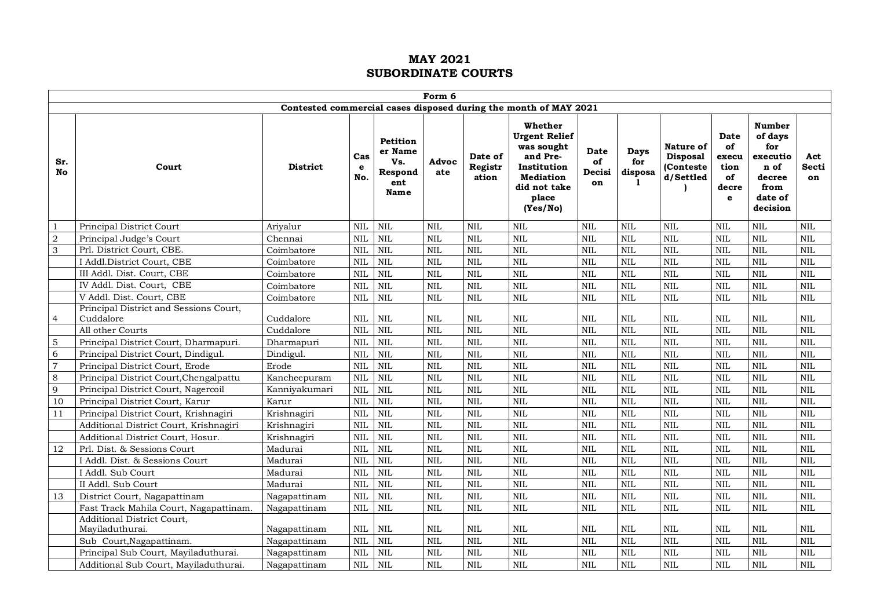|                  | Form 6                                                                  |                        |                          |                                                      |                          |                             |                                                                                                                                   |                                   |                                    |                                                        |                                                                   |                                                                                              |                          |
|------------------|-------------------------------------------------------------------------|------------------------|--------------------------|------------------------------------------------------|--------------------------|-----------------------------|-----------------------------------------------------------------------------------------------------------------------------------|-----------------------------------|------------------------------------|--------------------------------------------------------|-------------------------------------------------------------------|----------------------------------------------------------------------------------------------|--------------------------|
|                  |                                                                         |                        |                          |                                                      |                          |                             | Contested commercial cases disposed during the month of MAY 2021                                                                  |                                   |                                    |                                                        |                                                                   |                                                                                              |                          |
| Sr.<br><b>No</b> | Court                                                                   | <b>District</b>        | Cas<br>e<br>No.          | Petition<br>er Name<br>Vs.<br>Respond<br>ent<br>Name | Advoc<br>ate             | Date of<br>Registr<br>ation | Whether<br><b>Urgent Relief</b><br>was sought<br>and Pre-<br>Institution<br><b>Mediation</b><br>did not take<br>place<br>(Yes/No) | <b>Date</b><br>of<br>Decisi<br>on | <b>Days</b><br>for<br>disposa<br>1 | Nature of<br><b>Disposal</b><br>(Conteste<br>d/Settled | <b>Date</b><br>of<br>execu<br>tion<br>of<br>decre<br>$\mathbf{e}$ | <b>Number</b><br>of days<br>for<br>executio<br>n of<br>decree<br>from<br>date of<br>decision | Act<br>Secti<br>on       |
| $\mathbf{1}$     | Principal District Court                                                | Arivalur               | <b>NIL</b>               | <b>NIL</b>                                           | <b>NIL</b>               | <b>NIL</b>                  | <b>NIL</b>                                                                                                                        | <b>NIL</b>                        | $\mbox{NIL}$                       | $\mbox{NIL}$                                           | $\mbox{NIL}$                                                      | NIL                                                                                          | <b>NIL</b>               |
| $\sqrt{2}$       | Principal Judge's Court                                                 | Chennai                | <b>NIL</b>               | <b>NIL</b>                                           | <b>NIL</b>               | <b>NIL</b>                  | <b>NIL</b>                                                                                                                        | <b>NIL</b>                        | <b>NIL</b>                         | $\text{NIL}$                                           | $\mbox{NIL}$                                                      | NIL                                                                                          | <b>NIL</b>               |
| $\sqrt{3}$       | Prl. District Court, CBE.                                               | Coimbatore             | <b>NIL</b>               | <b>NIL</b>                                           | <b>NIL</b>               | <b>NIL</b>                  | <b>NIL</b>                                                                                                                        | <b>NIL</b>                        | <b>NIL</b>                         | <b>NIL</b>                                             | <b>NIL</b>                                                        | <b>NIL</b>                                                                                   | <b>NIL</b>               |
|                  | I Addl.District Court, CBE                                              | Coimbatore             | <b>NIL</b>               | <b>NIL</b>                                           | <b>NIL</b>               | <b>NIL</b>                  | <b>NIL</b>                                                                                                                        | <b>NIL</b>                        | <b>NIL</b>                         | <b>NIL</b>                                             | $\mbox{NIL}$                                                      | <b>NIL</b>                                                                                   | <b>NIL</b>               |
|                  | III Addl. Dist. Court, CBE                                              | Coimbatore             | $\mbox{NIL}$             | <b>NIL</b>                                           | <b>NIL</b>               | <b>NIL</b>                  | <b>NIL</b>                                                                                                                        | <b>NIL</b>                        | NIL                                | $\mbox{NIL}$                                           | $\mbox{NIL}$                                                      | <b>NIL</b>                                                                                   | <b>NIL</b>               |
|                  | IV Addl. Dist. Court, CBE                                               | Coimbatore             | <b>NIL</b>               | <b>NIL</b>                                           | <b>NIL</b>               | <b>NIL</b>                  | <b>NIL</b>                                                                                                                        | <b>NIL</b>                        | <b>NIL</b>                         | $\text{NIL}$                                           | $\mbox{NIL}$                                                      | NIL                                                                                          | <b>NIL</b>               |
|                  | V Addl. Dist. Court, CBE                                                | Coimbatore             | <b>NIL</b>               | <b>NIL</b>                                           | <b>NIL</b>               | NIL                         | $\mbox{NIL}$                                                                                                                      | <b>NIL</b>                        | $\mbox{NIL}$                       | $\rm NIL$                                              | $\mbox{NIL}$                                                      | $\mbox{NIL}$                                                                                 | <b>NIL</b>               |
| $\overline{4}$   | Principal District and Sessions Court,<br>Cuddalore<br>All other Courts | Cuddalore<br>Cuddalore | <b>NIL</b><br><b>NIL</b> | <b>NIL</b><br><b>NIL</b>                             | <b>NIL</b><br><b>NIL</b> | <b>NIL</b><br><b>NIL</b>    | <b>NIL</b><br><b>NIL</b>                                                                                                          | <b>NIL</b><br><b>NIL</b>          | <b>NIL</b><br>NIL                  | <b>NIL</b><br>$\mbox{NIL}$                             | <b>NIL</b><br>$\mbox{NIL}$                                        | $\rm NIL$<br><b>NIL</b>                                                                      | <b>NIL</b><br><b>NIL</b> |
| $\mathbf 5$      | Principal District Court, Dharmapuri.                                   | Dharmapuri             | <b>NIL</b>               | <b>NIL</b>                                           | <b>NIL</b>               | <b>NIL</b>                  | <b>NIL</b>                                                                                                                        | <b>NIL</b>                        | <b>NIL</b>                         | $\mbox{NIL}$                                           | <b>NIL</b>                                                        | <b>NIL</b>                                                                                   | <b>NIL</b>               |
| $\overline{6}$   | Principal District Court, Dindigul.                                     | Dindigul.              | <b>NIL</b>               | <b>NIL</b>                                           | <b>NIL</b>               | NIL                         | <b>NIL</b>                                                                                                                        | <b>NIL</b>                        | <b>NIL</b>                         | <b>NIL</b>                                             | <b>NIL</b>                                                        | <b>NIL</b>                                                                                   | <b>NIL</b>               |
| $\overline{7}$   | Principal District Court, Erode                                         | Erode                  | <b>NIL</b>               | <b>NIL</b>                                           | <b>NIL</b>               | <b>NIL</b>                  | <b>NIL</b>                                                                                                                        | <b>NIL</b>                        | <b>NIL</b>                         | $\mbox{NIL}$                                           | $\mbox{NIL}$                                                      | <b>NIL</b>                                                                                   | <b>NIL</b>               |
| $\,8\,$          | Principal District Court, Chengalpattu                                  | Kancheepuram           | <b>NIL</b>               | <b>NIL</b>                                           | $\mbox{NIL}$             | NIL                         | <b>NIL</b>                                                                                                                        | <b>NIL</b>                        | <b>NIL</b>                         | $\mbox{NIL}$                                           | $\mbox{NIL}$                                                      | NIL                                                                                          | <b>NIL</b>               |
| 9                | Principal District Court, Nagercoil                                     | Kanniyakumari          | <b>NIL</b>               | <b>NIL</b>                                           | <b>NIL</b>               | <b>NIL</b>                  | <b>NIL</b>                                                                                                                        | <b>NIL</b>                        | NIL                                | $\mbox{NIL}$                                           | $\mbox{NIL}$                                                      | <b>NIL</b>                                                                                   | <b>NIL</b>               |
| 10               | Principal District Court, Karur                                         | Karur                  | <b>NIL</b>               | <b>NIL</b>                                           | <b>NIL</b>               | <b>NIL</b>                  | <b>NIL</b>                                                                                                                        | <b>NIL</b>                        | NIL                                | $\text{NIL}$                                           | $\mbox{NIL}$                                                      | NIL                                                                                          | <b>NIL</b>               |
| 11               | Principal District Court, Krishnagiri                                   | Krishnagiri            | <b>NIL</b>               | <b>NIL</b>                                           | <b>NIL</b>               | <b>NIL</b>                  | <b>NIL</b>                                                                                                                        | <b>NIL</b>                        | NIL                                | $\mbox{NIL}$                                           | $\mbox{NIL}$                                                      | <b>NIL</b>                                                                                   | <b>NIL</b>               |
|                  | Additional District Court, Krishnagiri                                  | Krishnagiri            | <b>NIL</b>               | <b>NIL</b>                                           | <b>NIL</b>               | NIL                         | <b>NIL</b>                                                                                                                        | <b>NIL</b>                        | <b>NIL</b>                         | $\mbox{NIL}$                                           | $\mbox{NIL}$                                                      | <b>NIL</b>                                                                                   | <b>NIL</b>               |
|                  | Additional District Court, Hosur.                                       | Krishnagiri            | <b>NIL</b>               | <b>NIL</b>                                           | <b>NIL</b>               | <b>NIL</b>                  | <b>NIL</b>                                                                                                                        | <b>NIL</b>                        | <b>NIL</b>                         | <b>NIL</b>                                             | NIL                                                               | $\overline{\text{NIL}}$                                                                      | <b>NIL</b>               |
| 12               | Prl. Dist. & Sessions Court                                             | Madurai                | <b>NIL</b>               | <b>NIL</b>                                           | <b>NIL</b>               | <b>NIL</b>                  | <b>NIL</b>                                                                                                                        | <b>NIL</b>                        | <b>NIL</b>                         | <b>NIL</b>                                             | $\mbox{NIL}$                                                      | <b>NIL</b>                                                                                   | <b>NIL</b>               |
|                  | I Addl. Dist. & Sessions Court                                          | Madurai                | <b>NIL</b>               | <b>NIL</b>                                           | <b>NIL</b>               | <b>NIL</b>                  | <b>NIL</b>                                                                                                                        | <b>NIL</b>                        | <b>NIL</b>                         | <b>NIL</b>                                             | $\mbox{NIL}$                                                      | <b>NIL</b>                                                                                   | <b>NIL</b>               |
|                  | I Addl. Sub Court                                                       | Madurai                | <b>NIL</b>               | $\mbox{NIL}$                                         | <b>NIL</b>               | <b>NIL</b>                  | <b>NIL</b>                                                                                                                        | <b>NIL</b>                        | $\mbox{NIL}$                       | $\mbox{NIL}$                                           | $\mbox{NIL}$                                                      | NIL                                                                                          | <b>NIL</b>               |
|                  | II Addl. Sub Court                                                      | Madurai                | <b>NIL</b>               | <b>NIL</b>                                           | <b>NIL</b>               | <b>NIL</b>                  | <b>NIL</b>                                                                                                                        | <b>NIL</b>                        | <b>NIL</b>                         | $\text{NIL}$                                           | NIL                                                               | <b>NIL</b>                                                                                   | <b>NIL</b>               |
| 13               | District Court, Nagapattinam                                            | Nagapattinam           | <b>NIL</b>               | <b>NIL</b>                                           | NIL                      | $\mbox{NIL}$                | <b>NIL</b>                                                                                                                        | $\mbox{NIL}$                      | NIL                                | $\mbox{NIL}$                                           | $\mbox{NIL}$                                                      | <b>NIL</b>                                                                                   | <b>NIL</b>               |
|                  | Fast Track Mahila Court, Nagapattinam.                                  | Nagapattinam           | NIL                      | <b>NIL</b>                                           | <b>NIL</b>               | $\mbox{NIL}$                | $\mbox{NIL}$                                                                                                                      | $\mbox{NIL}$                      | $\mbox{NIL}$                       | $\mbox{NIL}$                                           | $\mbox{NIL}$                                                      | NIL                                                                                          | <b>NIL</b>               |
|                  | Additional District Court,                                              |                        |                          |                                                      |                          |                             |                                                                                                                                   |                                   |                                    |                                                        |                                                                   |                                                                                              |                          |
|                  | Mayiladuthurai.                                                         | Nagapattinam           | <b>NIL</b>               | <b>NIL</b>                                           | <b>NIL</b>               | $\mbox{NIL}$                | <b>NIL</b>                                                                                                                        | NIL                               | $\mbox{NIL}$                       | $\rm NIL$                                              | $\mbox{NIL}$                                                      | $\mbox{NIL}$                                                                                 | $\mbox{NIL}$             |
|                  | Sub Court, Nagapattinam.                                                | Nagapattinam           | <b>NIL</b>               | <b>NIL</b>                                           | <b>NIL</b>               | <b>NIL</b>                  | <b>NIL</b>                                                                                                                        | <b>NIL</b>                        | NIL                                | <b>NIL</b>                                             | $\mbox{NIL}$                                                      | <b>NIL</b>                                                                                   | <b>NIL</b>               |
|                  | Principal Sub Court, Mayiladuthurai.                                    | Nagapattinam           | <b>NIL</b>               | <b>NIL</b>                                           | <b>NIL</b>               | <b>NIL</b>                  | <b>NIL</b>                                                                                                                        | <b>NIL</b>                        | <b>NIL</b>                         | <b>NIL</b>                                             | <b>NIL</b>                                                        | <b>NIL</b>                                                                                   | <b>NIL</b>               |
|                  | Additional Sub Court, Mayiladuthurai.                                   | Nagapattinam           | <b>NIL</b>               | <b>NIL</b>                                           | <b>NIL</b>               | <b>NIL</b>                  | <b>NIL</b>                                                                                                                        | <b>NIL</b>                        | <b>NIL</b>                         | <b>NIL</b>                                             | $\mbox{NIL}$                                                      | <b>NIL</b>                                                                                   | <b>NIL</b>               |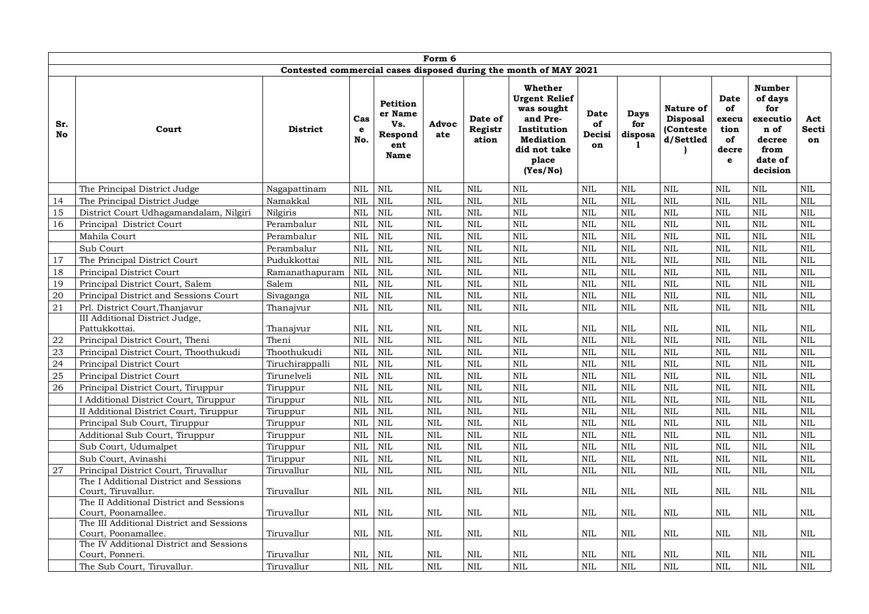|           | Form 6                                                                             |                 |                            |                                                      |                            |                             |                                                                                                                                   |                            |                                    |                                                        |                                                        |                                                                                              |                            |
|-----------|------------------------------------------------------------------------------------|-----------------|----------------------------|------------------------------------------------------|----------------------------|-----------------------------|-----------------------------------------------------------------------------------------------------------------------------------|----------------------------|------------------------------------|--------------------------------------------------------|--------------------------------------------------------|----------------------------------------------------------------------------------------------|----------------------------|
|           |                                                                                    |                 |                            |                                                      |                            |                             | Contested commercial cases disposed during the month of MAY 2021                                                                  |                            |                                    |                                                        |                                                        |                                                                                              |                            |
| Sr.<br>No | Court                                                                              | <b>District</b> | Cas<br>e<br>No.            | Petition<br>er Name<br>Vs.<br>Respond<br>ent<br>Name | Advoc<br>ate               | Date of<br>Registr<br>ation | Whether<br><b>Urgent Relief</b><br>was sought<br>and Pre-<br>Institution<br><b>Mediation</b><br>did not take<br>place<br>(Yes/No) | Date<br>of<br>Decisi<br>on | <b>Days</b><br>for<br>disposa<br>1 | Nature of<br><b>Disposal</b><br>(Conteste<br>d/Settled | <b>Date</b><br>of<br>execu<br>tion<br>of<br>decre<br>e | <b>Number</b><br>of days<br>for<br>executio<br>n of<br>decree<br>from<br>date of<br>decision | Act<br>Secti<br>on         |
|           | The Principal District Judge                                                       | Nagapattinam    | NIL                        | <b>NIL</b>                                           | <b>NIL</b>                 | <b>NIL</b>                  | <b>NIL</b>                                                                                                                        | <b>NIL</b>                 | <b>NIL</b>                         | <b>NIL</b>                                             | $\mbox{NIL}$                                           | <b>NIL</b>                                                                                   | <b>NIL</b>                 |
| 14        | The Principal District Judge                                                       | Namakkal        | <b>NIL</b>                 | <b>NIL</b>                                           | <b>NIL</b>                 | <b>NIL</b>                  | <b>NIL</b>                                                                                                                        | <b>NIL</b>                 | <b>NIL</b>                         | <b>NIL</b>                                             | $\mbox{NIL}$                                           | <b>NIL</b>                                                                                   | <b>NIL</b>                 |
| 15        | District Court Udhagamandalam, Nilgiri                                             | Nilgiris        | $\mbox{NIL}$               | <b>NIL</b>                                           | $\mbox{NIL}$               | $\mbox{NIL}$                | <b>NIL</b>                                                                                                                        | <b>NIL</b>                 | <b>NIL</b>                         | $\mbox{NIL}$                                           | $\mbox{NIL}$                                           | <b>NIL</b>                                                                                   | $\mbox{NIL}$               |
| 16        | Principal District Court                                                           | Perambalur      | $\mbox{NIL}$               | $\mbox{NIL}$                                         | $\mbox{NIL}$               | $\mbox{NIL}$                | <b>NIL</b>                                                                                                                        | $\mbox{NIL}$               | NIL                                | $\mbox{NIL}$                                           | $\mbox{NIL}$                                           | <b>NIL</b>                                                                                   | $\mbox{NIL}$               |
|           | Mahila Court                                                                       | Perambalur      | <b>NIL</b>                 | NIL                                                  | $\text{NIL}$               | $\mbox{NIL}$                | <b>NIL</b>                                                                                                                        | <b>NIL</b>                 | <b>NIL</b>                         | $\text{NIL}$                                           | $\mbox{NIL}$                                           | $\overline{\text{NIL}}$                                                                      | <b>NIL</b>                 |
|           | Sub Court                                                                          | Perambalur      | $\mbox{NIL}$               | <b>NIL</b>                                           | $\mbox{NIL}$               | $\mbox{NIL}$                | <b>NIL</b>                                                                                                                        | <b>NIL</b>                 | <b>NIL</b>                         | $\mbox{NIL}$                                           | $\mbox{NIL}$                                           | <b>NIL</b>                                                                                   | <b>NIL</b>                 |
| 17        | The Principal District Court                                                       | Pudukkottai     | $\mbox{NIL}$               | <b>NIL</b>                                           | $\mbox{NIL}$               | $\mbox{NIL}$                | <b>NIL</b>                                                                                                                        | $\mbox{NIL}$               | NIL                                | <b>NIL</b>                                             | $\mbox{NIL}$                                           | <b>NIL</b>                                                                                   | $\mbox{NIL}$               |
| 18        | Principal District Court                                                           | Ramanathapuram  | $\mbox{NIL}$               | <b>NIL</b>                                           | <b>NIL</b>                 | $\mbox{NIL}$                | <b>NIL</b>                                                                                                                        | <b>NIL</b>                 | <b>NIL</b>                         | NIL                                                    | $\mbox{NIL}$                                           | <b>NIL</b>                                                                                   | $\mbox{NIL}$               |
| 19        | Principal District Court, Salem                                                    | Salem           | <b>NIL</b>                 | <b>NIL</b>                                           | <b>NIL</b>                 | <b>NIL</b>                  | <b>NIL</b>                                                                                                                        | <b>NIL</b>                 | <b>NIL</b>                         | <b>NIL</b>                                             | <b>NIL</b>                                             | <b>NIL</b>                                                                                   | <b>NIL</b>                 |
| 20        | Principal District and Sessions Court                                              | Sivaganga       | <b>NIL</b>                 | <b>NIL</b>                                           | $\mbox{NIL}$               | $\mbox{NIL}$                | <b>NIL</b>                                                                                                                        | <b>NIL</b>                 | <b>NIL</b>                         | <b>NIL</b>                                             | $\mbox{NIL}$                                           | <b>NIL</b>                                                                                   | <b>NIL</b>                 |
| 21        | Prl. District Court, Thanjavur                                                     | Thanajvur       | $\mbox{NIL}$               | <b>NIL</b>                                           | <b>NIL</b>                 | <b>NIL</b>                  | <b>NIL</b>                                                                                                                        | <b>NIL</b>                 | <b>NIL</b>                         | $\text{NIL}$                                           | <b>NIL</b>                                             | <b>NIL</b>                                                                                   | <b>NIL</b>                 |
| 22        | III Additional District Judge,<br>Pattukkottai.<br>Principal District Court, Theni | Thanajvur       | <b>NIL</b><br>$\mbox{NIL}$ | <b>NIL</b><br>NIL                                    | <b>NIL</b><br>$\mbox{NIL}$ | <b>NIL</b><br>$\mbox{NIL}$  | <b>NIL</b><br><b>NIL</b>                                                                                                          | <b>NIL</b><br><b>NIL</b>   | <b>NIL</b><br>$\mbox{NIL}$         | <b>NIL</b><br>$\mbox{NIL}$                             | <b>NIL</b><br>$\mbox{NIL}$                             | $\mbox{NIL}$<br><b>NIL</b>                                                                   | <b>NIL</b><br>$\mbox{NIL}$ |
|           |                                                                                    | Theni           | $\mbox{NIL}$               | <b>NIL</b>                                           | $\text{NIL}$               |                             |                                                                                                                                   |                            | <b>NIL</b>                         | $\text{NIL}$                                           | $\mbox{NIL}$                                           |                                                                                              | NIL                        |
| 23        | Principal District Court, Thoothukudi                                              | Thoothukudi     |                            |                                                      |                            | <b>NIL</b>                  | <b>NIL</b><br><b>NIL</b>                                                                                                          | $\mbox{NIL}$               | <b>NIL</b>                         | $\text{NIL}$                                           |                                                        | <b>NIL</b><br><b>NIL</b>                                                                     |                            |
| 24        | Principal District Court                                                           | Tiruchirappalli | $\mbox{NIL}$               | NIL                                                  | $\mbox{NIL}$               | $\mbox{NIL}$                |                                                                                                                                   | <b>NIL</b>                 |                                    |                                                        | $\mbox{NIL}$                                           |                                                                                              | <b>NIL</b>                 |
| 25        | Principal District Court                                                           | Tirunelveli     | NIL                        | <b>NIL</b>                                           | $\mbox{NIL}$               | $\mbox{NIL}$                | <b>NIL</b>                                                                                                                        | <b>NIL</b>                 | <b>NIL</b>                         | <b>NIL</b>                                             | $\mbox{NIL}$                                           | <b>NIL</b>                                                                                   | <b>NIL</b>                 |
| 26        | Principal District Court, Tiruppur                                                 | Tiruppur        | <b>NIL</b>                 | <b>NIL</b>                                           | <b>NIL</b>                 | <b>NIL</b>                  | <b>NIL</b>                                                                                                                        | <b>NIL</b>                 | <b>NIL</b>                         | <b>NIL</b>                                             | $\mbox{NIL}$                                           | <b>NIL</b>                                                                                   | <b>NIL</b>                 |
|           | I Additional District Court, Tiruppur                                              | Tiruppur        | $\mbox{NIL}$               | NIL                                                  | $\mbox{NIL}$               | $\mbox{NIL}$                | <b>NIL</b>                                                                                                                        | <b>NIL</b>                 | <b>NIL</b>                         | $\mbox{NIL}$                                           | $\mbox{NIL}$                                           | <b>NIL</b>                                                                                   | $\mbox{NIL}$               |
|           | II Additional District Court, Tiruppur                                             | Tiruppur        | $\mbox{NIL}$               | NIL                                                  | <b>NIL</b>                 | <b>NIL</b>                  | <b>NIL</b>                                                                                                                        | <b>NIL</b>                 | <b>NIL</b>                         | <b>NIL</b>                                             | <b>NIL</b>                                             | <b>NIL</b>                                                                                   | <b>NIL</b>                 |
|           | Principal Sub Court, Tiruppur                                                      | Tiruppur        | $\mbox{NIL}$               | <b>NIL</b>                                           | $\mbox{NIL}$               | $\mbox{NIL}$                | <b>NIL</b>                                                                                                                        | <b>NIL</b>                 | <b>NIL</b>                         | $\mbox{NIL}$                                           | $\mbox{NIL}$                                           | <b>NIL</b>                                                                                   | $\mbox{NIL}$               |
|           | Additional Sub Court, Tiruppur                                                     | Tiruppur        | $\mbox{NIL}$               | <b>NIL</b>                                           | $\mbox{NIL}$               | $\mbox{NIL}$                | <b>NIL</b>                                                                                                                        | $\mbox{NIL}$               | NIL                                | $\text{NIL}$                                           | $\mbox{NIL}$                                           | $\rm NIL$                                                                                    | <b>NIL</b>                 |
|           | Sub Court, Udumalpet                                                               | Tiruppur        | <b>NIL</b>                 | <b>NIL</b>                                           | <b>NIL</b>                 | <b>NIL</b>                  | <b>NIL</b>                                                                                                                        | <b>NIL</b>                 | <b>NIL</b>                         | $\mbox{NIL}$                                           | $\mbox{NIL}$                                           | <b>NIL</b>                                                                                   | $\mbox{NIL}$               |
|           | Sub Court, Avinashi                                                                | Tiruppur        | <b>NIL</b>                 | NIL                                                  | <b>NIL</b>                 | <b>NIL</b>                  | <b>NIL</b>                                                                                                                        | <b>NIL</b>                 | <b>NIL</b>                         | $\text{NIL}$                                           | $\mbox{NIL}$                                           | $\mbox{NIL}$                                                                                 | NIL                        |
| 27        | Principal District Court, Tiruvallur<br>The I Additional District and Sessions     | Tiruvallur      | <b>NIL</b>                 | NIL                                                  | $\mbox{NIL}$               | $\mbox{NIL}$                | <b>NIL</b>                                                                                                                        | <b>NIL</b>                 | <b>NIL</b>                         | <b>NIL</b>                                             | $\mbox{NIL}$                                           | <b>NIL</b>                                                                                   | <b>NIL</b>                 |
|           | Court, Tiruvallur.                                                                 | Tiruvallur      | <b>NIL</b>                 | <b>NIL</b>                                           | NIL                        | NIL                         | <b>NIL</b>                                                                                                                        | <b>NIL</b>                 | <b>NIL</b>                         | NIL                                                    | NIL                                                    | NIL                                                                                          | <b>NIL</b>                 |
|           | The II Additional District and Sessions                                            |                 |                            |                                                      |                            |                             |                                                                                                                                   |                            |                                    |                                                        |                                                        |                                                                                              |                            |
|           | Court, Poonamallee.                                                                | Tiruvallur      | <b>NIL</b>                 | <b>NIL</b>                                           | <b>NIL</b>                 | <b>NIL</b>                  | <b>NIL</b>                                                                                                                        | <b>NIL</b>                 | <b>NIL</b>                         | <b>NIL</b>                                             | <b>NIL</b>                                             | <b>NIL</b>                                                                                   | <b>NIL</b>                 |
|           | The III Additional District and Sessions                                           |                 |                            |                                                      |                            |                             |                                                                                                                                   |                            |                                    |                                                        |                                                        |                                                                                              |                            |
|           | Court, Poonamallee.                                                                | Tiruvallur      | $\mbox{NIL}$               | <b>NIL</b>                                           | <b>NIL</b>                 | <b>NIL</b>                  | <b>NIL</b>                                                                                                                        | <b>NIL</b>                 | <b>NIL</b>                         | <b>NIL</b>                                             | <b>NIL</b>                                             | <b>NIL</b>                                                                                   | <b>NIL</b>                 |
|           | The IV Additional District and Sessions<br>Court, Ponneri.                         | Tiruvallur      | NIL                        | <b>NIL</b>                                           | <b>NIL</b>                 | NIL                         | <b>NIL</b>                                                                                                                        | <b>NIL</b>                 | <b>NIL</b>                         | <b>NIL</b>                                             | NIL                                                    | $\rm NIL$                                                                                    | <b>NIL</b>                 |
|           | The Sub Court, Tiruvallur.                                                         | Tiruvallur      | $\mbox{NIL}$               | NIL                                                  | <b>NIL</b>                 | <b>NIL</b>                  | <b>NIL</b>                                                                                                                        | <b>NIL</b>                 | <b>NIL</b>                         | <b>NIL</b>                                             | <b>NIL</b>                                             | <b>NIL</b>                                                                                   | <b>NIL</b>                 |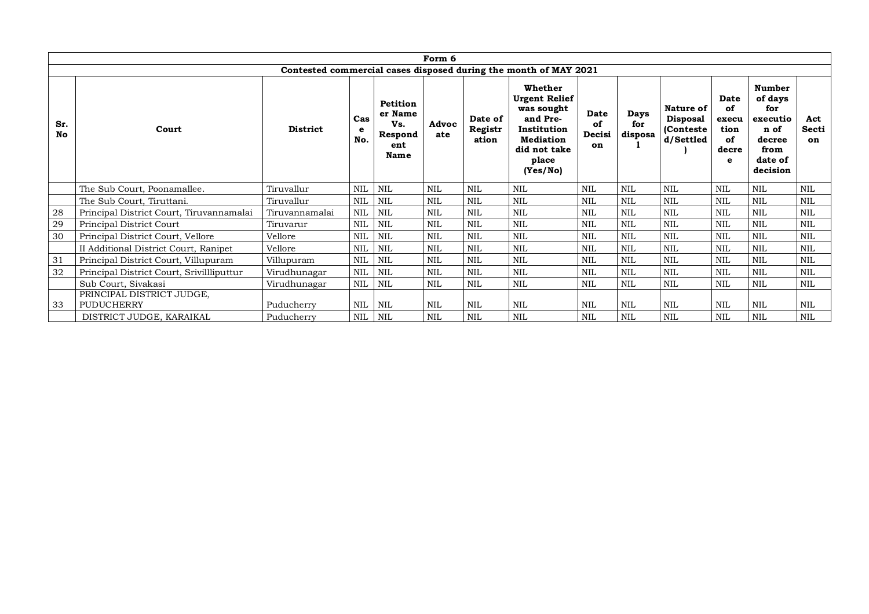| Form 6           |                                                                  |                 |            |                                                      |              |                             |                                                                                                                                   |                            |                        |                                                         |                                                 |                                                                                       |                    |
|------------------|------------------------------------------------------------------|-----------------|------------|------------------------------------------------------|--------------|-----------------------------|-----------------------------------------------------------------------------------------------------------------------------------|----------------------------|------------------------|---------------------------------------------------------|-------------------------------------------------|---------------------------------------------------------------------------------------|--------------------|
|                  | Contested commercial cases disposed during the month of MAY 2021 |                 |            |                                                      |              |                             |                                                                                                                                   |                            |                        |                                                         |                                                 |                                                                                       |                    |
| Sr.<br><b>No</b> | Court                                                            | <b>District</b> | Cas<br>No. | Petition<br>er Name<br>Vs.<br>Respond<br>ent<br>Name | Advoc<br>ate | Date of<br>Registr<br>ation | Whether<br><b>Urgent Relief</b><br>was sought<br>and Pre-<br>Institution<br><b>Mediation</b><br>did not take<br>place<br>(Yes/No) | Date<br>of<br>Decisi<br>on | Days<br>for<br>disposa | Nature of<br><b>Disposal</b><br>(Conteste)<br>d/Settled | Date<br>of<br>execu<br>tion<br>of<br>decre<br>e | Number<br>of days<br>for<br>executio<br>n of<br>decree<br>from<br>date of<br>decision | Act<br>Secti<br>on |
|                  | The Sub Court, Poonamallee.                                      | Tiruvallur      | $\rm NIL$  | NIL                                                  | NIL          | NIL                         | <b>NIL</b>                                                                                                                        | NIL                        | NIL                    | <b>NIL</b>                                              | NIL                                             | NIL                                                                                   | <b>NIL</b>         |
|                  | The Sub Court, Tiruttani.                                        | Tiruvallur      | NIL        | NIL                                                  | NIL          | <b>NIL</b>                  | <b>NIL</b>                                                                                                                        | NIL                        | <b>NIL</b>             | <b>NIL</b>                                              | <b>NIL</b>                                      | $\mbox{NIL}$                                                                          | <b>NIL</b>         |
| 28               | Principal District Court, Tiruvannamalai                         | Tiruvannamalai  | <b>NIL</b> | <b>NIL</b>                                           | <b>NIL</b>   | <b>NIL</b>                  | <b>NIL</b>                                                                                                                        | NIL                        | <b>NIL</b>             | <b>NIL</b>                                              | <b>NIL</b>                                      | NIL                                                                                   | <b>NIL</b>         |
| 29               | Principal District Court                                         | Tiruvarur       | <b>NIL</b> | <b>NIL</b>                                           | <b>NIL</b>   | NIL                         | <b>NIL</b>                                                                                                                        | <b>NIL</b>                 | <b>NIL</b>             | <b>NIL</b>                                              | <b>NIL</b>                                      | $\mbox{NIL}$                                                                          | <b>NIL</b>         |
| 30               | Principal District Court, Vellore                                | Vellore         | <b>NIL</b> | <b>NIL</b>                                           | <b>NIL</b>   | <b>NIL</b>                  | <b>NIL</b>                                                                                                                        | <b>NIL</b>                 | <b>NIL</b>             | <b>NIL</b>                                              | <b>NIL</b>                                      | $\mbox{NIL}$                                                                          | <b>NIL</b>         |
|                  | II Additional District Court, Ranipet                            | Vellore         | NIL        | NIL                                                  | <b>NIL</b>   | <b>NIL</b>                  | <b>NIL</b>                                                                                                                        | <b>NIL</b>                 | <b>NIL</b>             | <b>NIL</b>                                              | NIL                                             | $\mbox{NIL}$                                                                          | <b>NIL</b>         |
| 31               | Principal District Court, Villupuram                             | Villupuram      | <b>NIL</b> | <b>NIL</b>                                           | <b>NIL</b>   | <b>NIL</b>                  | <b>NIL</b>                                                                                                                        | NIL                        | NIL                    | <b>NIL</b>                                              | <b>NIL</b>                                      | $\mbox{NIL}$                                                                          | <b>NIL</b>         |
| 32               | Principal District Court, Srivillliputtur                        | Virudhunagar    | <b>NIL</b> | <b>NIL</b>                                           | NIL          | <b>NIL</b>                  | <b>NIL</b>                                                                                                                        | <b>NIL</b>                 | <b>NIL</b>             | <b>NIL</b>                                              | <b>NIL</b>                                      | NIL                                                                                   | <b>NIL</b>         |
|                  | Sub Court, Sivakasi                                              | Virudhunagar    | $\rm NIL$  | NIL                                                  | <b>NIL</b>   | NIL                         | <b>NIL</b>                                                                                                                        | NIL                        | NIL                    | NIL                                                     | NIL                                             | NIL                                                                                   | <b>NIL</b>         |
| 33               | PRINCIPAL DISTRICT JUDGE,<br><b>PUDUCHERRY</b>                   | Puducherry      | NIL        | NIL                                                  | <b>NIL</b>   | NIL                         | <b>NIL</b>                                                                                                                        | NIL                        | NIL                    | <b>NIL</b>                                              | <b>NIL</b>                                      | NIL                                                                                   | <b>NIL</b>         |
|                  | DISTRICT JUDGE, KARAIKAL                                         | Puducherry      | NIL        | NIL                                                  | <b>NIL</b>   | <b>NIL</b>                  | <b>NIL</b>                                                                                                                        | <b>NIL</b>                 | <b>NIL</b>             | <b>NIL</b>                                              | <b>NIL</b>                                      | NIL                                                                                   | <b>NIL</b>         |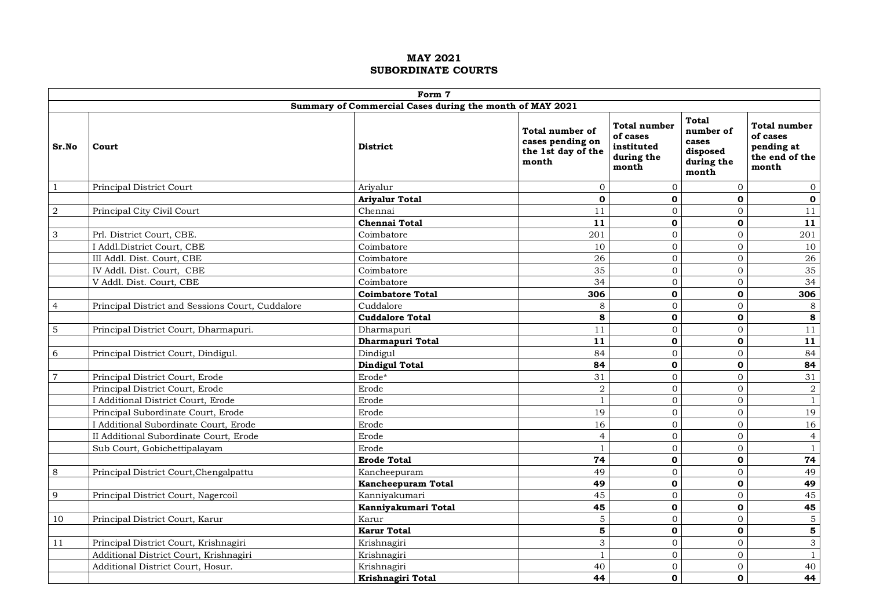|                  |                                                          | Form 7                  |                                                                    |                                                               |                                                                       |                                                                   |  |  |  |  |  |
|------------------|----------------------------------------------------------|-------------------------|--------------------------------------------------------------------|---------------------------------------------------------------|-----------------------------------------------------------------------|-------------------------------------------------------------------|--|--|--|--|--|
|                  | Summary of Commercial Cases during the month of MAY 2021 |                         |                                                                    |                                                               |                                                                       |                                                                   |  |  |  |  |  |
| Sr.No            | Court                                                    | <b>District</b>         | Total number of<br>cases pending on<br>the 1st day of the<br>month | Total number<br>of cases<br>instituted<br>during the<br>month | <b>Total</b><br>number of<br>cases<br>disposed<br>during the<br>month | Total number<br>of cases<br>pending at<br>the end of the<br>month |  |  |  |  |  |
| $\mathbf{1}$     | Principal District Court                                 | Arivalur                | $\Omega$                                                           | $\overline{0}$                                                | $\mathbf{0}$                                                          | $\mathbf{0}$                                                      |  |  |  |  |  |
|                  |                                                          | <b>Ariyalur Total</b>   | $\mathbf 0$                                                        | $\mathbf{0}$                                                  | $\mathbf{o}$                                                          | $\mathbf 0$                                                       |  |  |  |  |  |
| $\boldsymbol{2}$ | Principal City Civil Court                               | Chennai                 | 11                                                                 | $\mathbf{0}$                                                  | $\overline{0}$                                                        | 11                                                                |  |  |  |  |  |
|                  |                                                          | <b>Chennai Total</b>    | 11                                                                 | $\mathbf 0$                                                   | $\mathbf 0$                                                           | 11                                                                |  |  |  |  |  |
| 3                | Prl. District Court, CBE.                                | Coimbatore              | 201                                                                | $\overline{0}$                                                | $\overline{0}$                                                        | 201                                                               |  |  |  |  |  |
|                  | I Addl.District Court, CBE                               | Coimbatore              | 10                                                                 | $\overline{0}$                                                | $\overline{0}$                                                        | 10                                                                |  |  |  |  |  |
|                  | III Addl. Dist. Court, CBE                               | Coimbatore              | 26                                                                 | $\boldsymbol{0}$                                              | $\Omega$                                                              | 26                                                                |  |  |  |  |  |
|                  | IV Addl. Dist. Court, CBE                                | Coimbatore              | 35                                                                 | $\mathbf 0$                                                   | $\overline{0}$                                                        | 35                                                                |  |  |  |  |  |
|                  | V Addl. Dist. Court, CBE                                 | Coimbatore              | 34                                                                 | $\overline{0}$                                                | $\overline{0}$                                                        | 34                                                                |  |  |  |  |  |
|                  |                                                          | <b>Coimbatore Total</b> | 306                                                                | $\mathbf{0}$                                                  | O                                                                     | 306                                                               |  |  |  |  |  |
| $\overline{4}$   | Principal District and Sessions Court, Cuddalore         | Cuddalore               | 8                                                                  | $\Omega$                                                      | $\Omega$                                                              | $\,8\,$                                                           |  |  |  |  |  |
|                  |                                                          | <b>Cuddalore Total</b>  | 8                                                                  | $\mathbf{0}$                                                  | $\mathbf{o}$                                                          | $\bf8$                                                            |  |  |  |  |  |
| 5                | Principal District Court, Dharmapuri.                    | Dharmapuri              | 11                                                                 | $\mathbf{0}$                                                  | $\overline{0}$                                                        | $11$                                                              |  |  |  |  |  |
|                  |                                                          | Dharmapuri Total        | 11                                                                 | $\mathbf 0$                                                   | $\mathbf 0$                                                           | 11                                                                |  |  |  |  |  |
| 6                | Principal District Court, Dindigul.                      | Dindigul                | 84                                                                 | $\overline{0}$                                                | $\overline{0}$                                                        | 84                                                                |  |  |  |  |  |
|                  |                                                          | <b>Dindigul Total</b>   | 84                                                                 | $\mathbf{o}$                                                  | $\mathbf{o}$                                                          | 84                                                                |  |  |  |  |  |
| $\overline{7}$   | Principal District Court, Erode                          | Erode*                  | 31                                                                 | $\mathbf 0$                                                   | $\overline{0}$                                                        | 31                                                                |  |  |  |  |  |
|                  | Principal District Court, Erode                          | Erode                   | $\overline{a}$                                                     | $\mathbf{0}$                                                  | $\overline{0}$                                                        | $\boldsymbol{2}$                                                  |  |  |  |  |  |
|                  | I Additional District Court, Erode                       | Erode                   | $\mathbf{1}$                                                       | $\Omega$                                                      | $\overline{0}$                                                        | $\mathbf{1}$                                                      |  |  |  |  |  |
|                  | Principal Subordinate Court, Erode                       | Erode                   | 19                                                                 | $\overline{0}$                                                | $\overline{0}$                                                        | 19                                                                |  |  |  |  |  |
|                  | I Additional Subordinate Court, Erode                    | Erode                   | 16                                                                 | $\overline{0}$                                                | $\Omega$                                                              | 16                                                                |  |  |  |  |  |
|                  | II Additional Subordinate Court, Erode                   | Erode                   | $\overline{4}$                                                     | $\Omega$                                                      | $\Omega$                                                              | $\overline{4}$                                                    |  |  |  |  |  |
|                  | Sub Court, Gobichettipalayam                             | Erode                   | $\mathbf{1}$                                                       | $\overline{0}$                                                | $\overline{0}$                                                        | $\mathbf{1}$                                                      |  |  |  |  |  |
|                  |                                                          | <b>Erode Total</b>      | 74                                                                 | $\mathbf 0$                                                   | $\mathbf{o}$                                                          | 74                                                                |  |  |  |  |  |
| 8                | Principal District Court, Chengalpattu                   | Kancheepuram            | 49                                                                 | $\Omega$                                                      | $\Omega$                                                              | 49                                                                |  |  |  |  |  |
|                  |                                                          | Kancheepuram Total      | 49                                                                 | $\mathbf{o}$                                                  | $\mathbf{o}$                                                          | 49                                                                |  |  |  |  |  |
| 9                | Principal District Court, Nagercoil                      | Kanniyakumari           | 45                                                                 | $\overline{0}$                                                | $\overline{0}$                                                        | 45                                                                |  |  |  |  |  |
|                  |                                                          | Kanniyakumari Total     | 45                                                                 | $\mathbf{o}$                                                  | $\mathbf 0$                                                           | 45                                                                |  |  |  |  |  |
| 10               | Principal District Court, Karur                          | Karur                   | $\overline{5}$                                                     | $\mathbf 0$                                                   | $\overline{0}$                                                        | $\overline{5}$                                                    |  |  |  |  |  |
|                  |                                                          | <b>Karur Total</b>      | 5                                                                  | $\mathbf{0}$                                                  | $\mathbf 0$                                                           | $\overline{\mathbf{5}}$                                           |  |  |  |  |  |
| 11               | Principal District Court, Krishnagiri                    | Krishnagiri             | 3                                                                  | $\Omega$                                                      | $\Omega$                                                              | $\mathfrak{S}$                                                    |  |  |  |  |  |
|                  | Additional District Court, Krishnagiri                   | Krishnagiri             | $\overline{1}$                                                     | $\overline{0}$                                                | $\overline{0}$                                                        | $\mathbf{1}$                                                      |  |  |  |  |  |
|                  | Additional District Court, Hosur.                        | Krishnagiri             | 40                                                                 | $\overline{0}$                                                | 0                                                                     | 40                                                                |  |  |  |  |  |
|                  |                                                          | Krishnagiri Total       | 44                                                                 | $\mathbf 0$                                                   | O                                                                     | 44                                                                |  |  |  |  |  |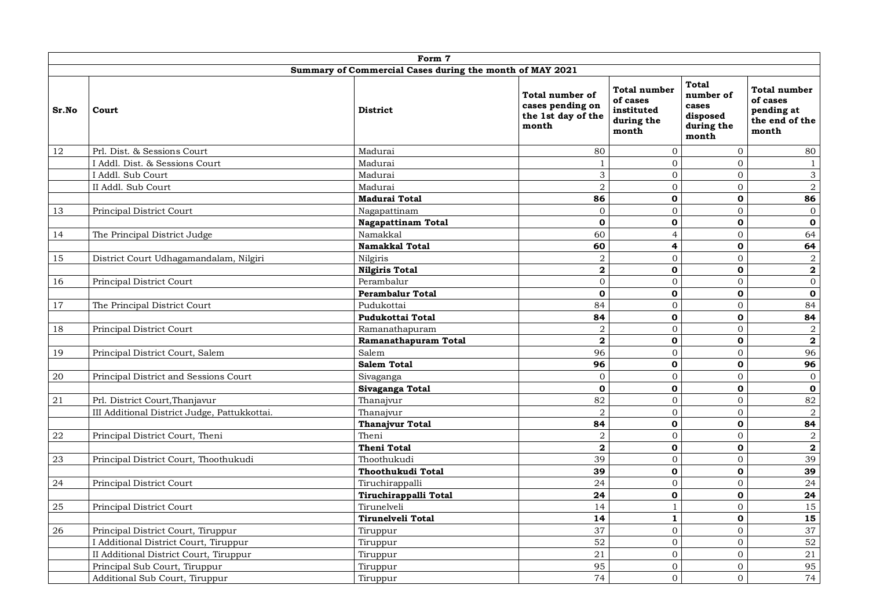|        | Form 7                                       |                                                          |                                                                    |                                                                      |                                                                       |                                                                   |  |  |  |  |
|--------|----------------------------------------------|----------------------------------------------------------|--------------------------------------------------------------------|----------------------------------------------------------------------|-----------------------------------------------------------------------|-------------------------------------------------------------------|--|--|--|--|
|        |                                              | Summary of Commercial Cases during the month of MAY 2021 |                                                                    |                                                                      |                                                                       |                                                                   |  |  |  |  |
| Sr.No  | Court                                        | <b>District</b>                                          | Total number of<br>cases pending on<br>the 1st day of the<br>month | <b>Total number</b><br>of cases<br>instituted<br>during the<br>month | <b>Total</b><br>number of<br>cases<br>disposed<br>during the<br>month | Total number<br>of cases<br>pending at<br>the end of the<br>month |  |  |  |  |
| 12     | Prl. Dist. & Sessions Court                  | Madurai                                                  | 80                                                                 | $\mathbf{0}$                                                         | $\overline{0}$                                                        | 80                                                                |  |  |  |  |
|        | I Addl. Dist. & Sessions Court               | Madurai                                                  | $\mathbf{1}$                                                       | $\overline{0}$                                                       | $\overline{0}$                                                        | $\mathbf{1}$                                                      |  |  |  |  |
|        | I Addl. Sub Court                            | Madurai                                                  | 3                                                                  | $\mathbf{0}$                                                         | $\overline{0}$                                                        | $\mathfrak{Z}$                                                    |  |  |  |  |
|        | II Addl. Sub Court                           | Madurai                                                  | $\overline{2}$                                                     | $\mathbf{0}$                                                         | $\overline{0}$                                                        | $\overline{a}$                                                    |  |  |  |  |
|        |                                              | <b>Madurai Total</b>                                     | 86                                                                 | $\mathbf 0$                                                          | $\mathbf 0$                                                           | 86                                                                |  |  |  |  |
| 13     | Principal District Court                     | Nagapattinam                                             | $\Omega$                                                           | $\mathbf{0}$                                                         | $\Omega$                                                              | $\mathbf{0}$                                                      |  |  |  |  |
|        |                                              | <b>Nagapattinam Total</b>                                | $\mathbf 0$                                                        | $\mathbf 0$                                                          | $\mathbf 0$                                                           | $\mathbf 0$                                                       |  |  |  |  |
| 14     | The Principal District Judge                 | Namakkal                                                 | 60                                                                 | $\overline{4}$                                                       | $\Omega$                                                              | 64                                                                |  |  |  |  |
|        |                                              | Namakkal Total                                           | 60                                                                 | 4                                                                    | $\mathbf{o}$                                                          | 64                                                                |  |  |  |  |
| 15     | District Court Udhagamandalam, Nilgiri       | Nilgiris                                                 | $\,2$                                                              | $\mathbf{0}$                                                         | $\overline{0}$                                                        | $\,2$                                                             |  |  |  |  |
|        |                                              | <b>Nilgiris Total</b>                                    | $\overline{\mathbf{2}}$                                            | $\mathbf 0$                                                          | $\mathbf 0$                                                           | $\bf 2$                                                           |  |  |  |  |
| 16     | Principal District Court                     | Perambalur                                               | $\overline{0}$                                                     | $\mathbf{0}$                                                         | $\overline{0}$                                                        | $\boldsymbol{0}$                                                  |  |  |  |  |
|        |                                              | <b>Perambalur Total</b>                                  | $\mathbf 0$                                                        | $\mathbf 0$                                                          | $\mathbf 0$                                                           | $\mathbf 0$                                                       |  |  |  |  |
| 17     | The Principal District Court                 | Pudukottai                                               | 84                                                                 | $\mathbf 0$                                                          | $\overline{0}$                                                        | 84                                                                |  |  |  |  |
|        |                                              | Pudukottai Total                                         | 84                                                                 | $\mathbf 0$                                                          | $\mathbf{o}$                                                          | 84                                                                |  |  |  |  |
| 18     | Principal District Court                     | Ramanathapuram                                           | $\overline{2}$                                                     | $\overline{0}$                                                       | $\overline{0}$                                                        | $\sqrt{2}$                                                        |  |  |  |  |
|        |                                              | Ramanathapuram Total                                     | $\overline{\mathbf{2}}$                                            | $\mathbf{o}$                                                         | $\mathbf 0$                                                           | $\overline{\mathbf{2}}$                                           |  |  |  |  |
| 19     | Principal District Court, Salem              | Salem                                                    | 96                                                                 | $\mathbf{0}$                                                         | $\overline{0}$                                                        | 96                                                                |  |  |  |  |
|        |                                              | <b>Salem Total</b>                                       | 96                                                                 | $\mathbf 0$                                                          | $\mathbf 0$                                                           | 96                                                                |  |  |  |  |
| $20\,$ | Principal District and Sessions Court        | Sivaganga                                                | $\Omega$                                                           | $\mathbf{0}$                                                         | $\Omega$                                                              | $\boldsymbol{0}$                                                  |  |  |  |  |
|        |                                              | Sivaganga Total                                          | $\mathbf 0$                                                        | $\mathbf{o}$                                                         | $\mathbf{o}$                                                          | $\mathbf 0$                                                       |  |  |  |  |
| 21     | Prl. District Court, Thanjavur               | Thanajvur                                                | 82                                                                 | $\boldsymbol{0}$                                                     | $\overline{0}$                                                        | 82                                                                |  |  |  |  |
|        | III Additional District Judge, Pattukkottai. | Thanajvur                                                | $\overline{2}$                                                     | $\mathbf{0}$                                                         | $\overline{0}$                                                        | $\sqrt{2}$                                                        |  |  |  |  |
|        |                                              | <b>Thanajvur Total</b>                                   | 84                                                                 | $\mathbf 0$                                                          | $\mathbf 0$                                                           | 84                                                                |  |  |  |  |
| 22     | Principal District Court, Theni              | Theni                                                    | $\overline{a}$                                                     | $\mathbf 0$                                                          | $\overline{0}$                                                        | $\sqrt{2}$                                                        |  |  |  |  |
|        |                                              | <b>Theni Total</b>                                       | $\overline{\mathbf{2}}$                                            | $\mathbf 0$                                                          | $\mathbf 0$                                                           | $\mathbf{2}$                                                      |  |  |  |  |
| 23     | Principal District Court, Thoothukudi        | Thoothukudi                                              | 39                                                                 | $\mathbf{0}$                                                         | $\overline{0}$                                                        | 39                                                                |  |  |  |  |
|        |                                              | Thoothukudi Total                                        | 39                                                                 | $\mathbf{o}$                                                         | $\mathbf{o}$                                                          | 39                                                                |  |  |  |  |
| 24     | Principal District Court                     | Tiruchirappalli                                          | 24                                                                 | $\mathbf{0}$                                                         | $\overline{0}$                                                        | 24                                                                |  |  |  |  |
|        |                                              | Tiruchirappalli Total                                    | 24                                                                 | $\mathbf{0}$                                                         | $\mathbf 0$                                                           | 24                                                                |  |  |  |  |
| 25     | Principal District Court                     | Tirunelveli                                              | 14                                                                 | $\mathbf{1}$                                                         | $\overline{O}$                                                        | 15                                                                |  |  |  |  |
|        |                                              | Tirunelveli Total                                        | 14                                                                 | $\mathbf{1}$                                                         | $\mathbf 0$                                                           | 15                                                                |  |  |  |  |
| 26     | Principal District Court, Tiruppur           | Tiruppur                                                 | 37                                                                 | $\mathbf{0}$                                                         | $\mathbf 0$                                                           | 37                                                                |  |  |  |  |
|        | I Additional District Court, Tiruppur        | Tiruppur                                                 | 52                                                                 | $\mathbf 0$                                                          | $\overline{0}$                                                        | 52                                                                |  |  |  |  |
|        | II Additional District Court, Tiruppur       | Tiruppur                                                 | 21                                                                 | $\mathbf 0$                                                          | $\overline{0}$                                                        | $2\sqrt{1}$                                                       |  |  |  |  |
|        | Principal Sub Court, Tiruppur                | Tiruppur                                                 | 95                                                                 | $\mathbf 0$                                                          | $\overline{0}$                                                        | 95                                                                |  |  |  |  |
|        | Additional Sub Court, Tiruppur               | Tiruppur                                                 | 74                                                                 | $\Omega$                                                             | $\Omega$                                                              | 74                                                                |  |  |  |  |